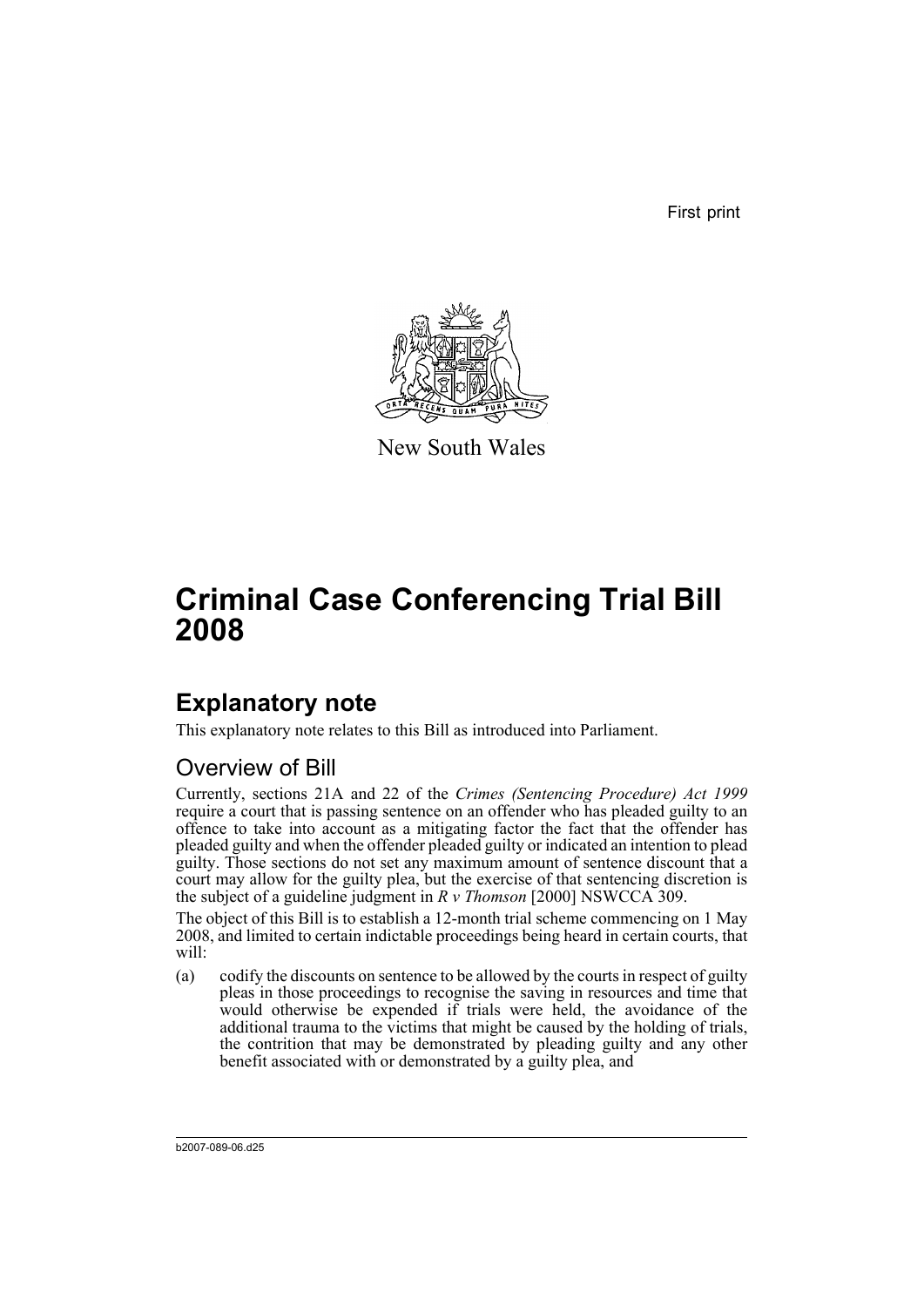First print



New South Wales

# **Criminal Case Conferencing Trial Bill 2008**

## **Explanatory note**

This explanatory note relates to this Bill as introduced into Parliament.

## Overview of Bill

Currently, sections 21A and 22 of the *Crimes (Sentencing Procedure) Act 1999* require a court that is passing sentence on an offender who has pleaded guilty to an offence to take into account as a mitigating factor the fact that the offender has pleaded guilty and when the offender pleaded guilty or indicated an intention to plead guilty. Those sections do not set any maximum amount of sentence discount that a court may allow for the guilty plea, but the exercise of that sentencing discretion is the subject of a guideline judgment in *R v Thomson* [2000] NSWCCA 309.

The object of this Bill is to establish a 12-month trial scheme commencing on 1 May 2008, and limited to certain indictable proceedings being heard in certain courts, that will:

(a) codify the discounts on sentence to be allowed by the courts in respect of guilty pleas in those proceedings to recognise the saving in resources and time that would otherwise be expended if trials were held, the avoidance of the additional trauma to the victims that might be caused by the holding of trials, the contrition that may be demonstrated by pleading guilty and any other benefit associated with or demonstrated by a guilty plea, and

b2007-089-06.d25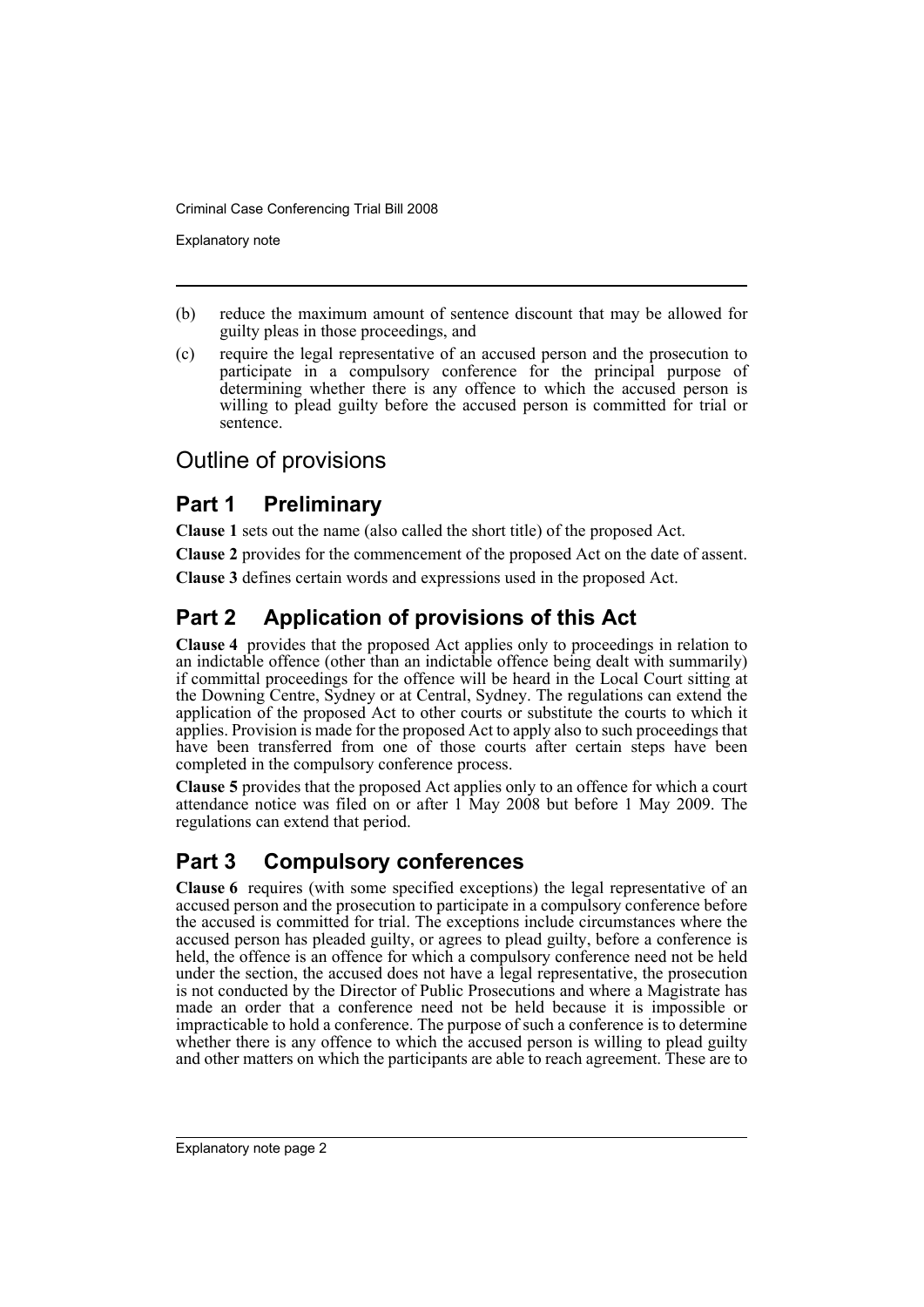Explanatory note

- (b) reduce the maximum amount of sentence discount that may be allowed for guilty pleas in those proceedings, and
- (c) require the legal representative of an accused person and the prosecution to participate in a compulsory conference for the principal purpose of determining whether there is any offence to which the accused person is willing to plead guilty before the accused person is committed for trial or sentence.

## Outline of provisions

## **Part 1 Preliminary**

**Clause 1** sets out the name (also called the short title) of the proposed Act.

**Clause 2** provides for the commencement of the proposed Act on the date of assent.

**Clause 3** defines certain words and expressions used in the proposed Act.

## **Part 2 Application of provisions of this Act**

**Clause 4** provides that the proposed Act applies only to proceedings in relation to an indictable offence (other than an indictable offence being dealt with summarily) if committal proceedings for the offence will be heard in the Local Court sitting at the Downing Centre, Sydney or at Central, Sydney. The regulations can extend the application of the proposed Act to other courts or substitute the courts to which it applies. Provision is made for the proposed Act to apply also to such proceedings that have been transferred from one of those courts after certain steps have been completed in the compulsory conference process.

**Clause 5** provides that the proposed Act applies only to an offence for which a court attendance notice was filed on or after 1 May 2008 but before 1 May 2009. The regulations can extend that period.

## **Part 3 Compulsory conferences**

**Clause 6** requires (with some specified exceptions) the legal representative of an accused person and the prosecution to participate in a compulsory conference before the accused is committed for trial. The exceptions include circumstances where the accused person has pleaded guilty, or agrees to plead guilty, before a conference is held, the offence is an offence for which a compulsory conference need not be held under the section, the accused does not have a legal representative, the prosecution is not conducted by the Director of Public Prosecutions and where a Magistrate has made an order that a conference need not be held because it is impossible or impracticable to hold a conference. The purpose of such a conference is to determine whether there is any offence to which the accused person is willing to plead guilty and other matters on which the participants are able to reach agreement. These are to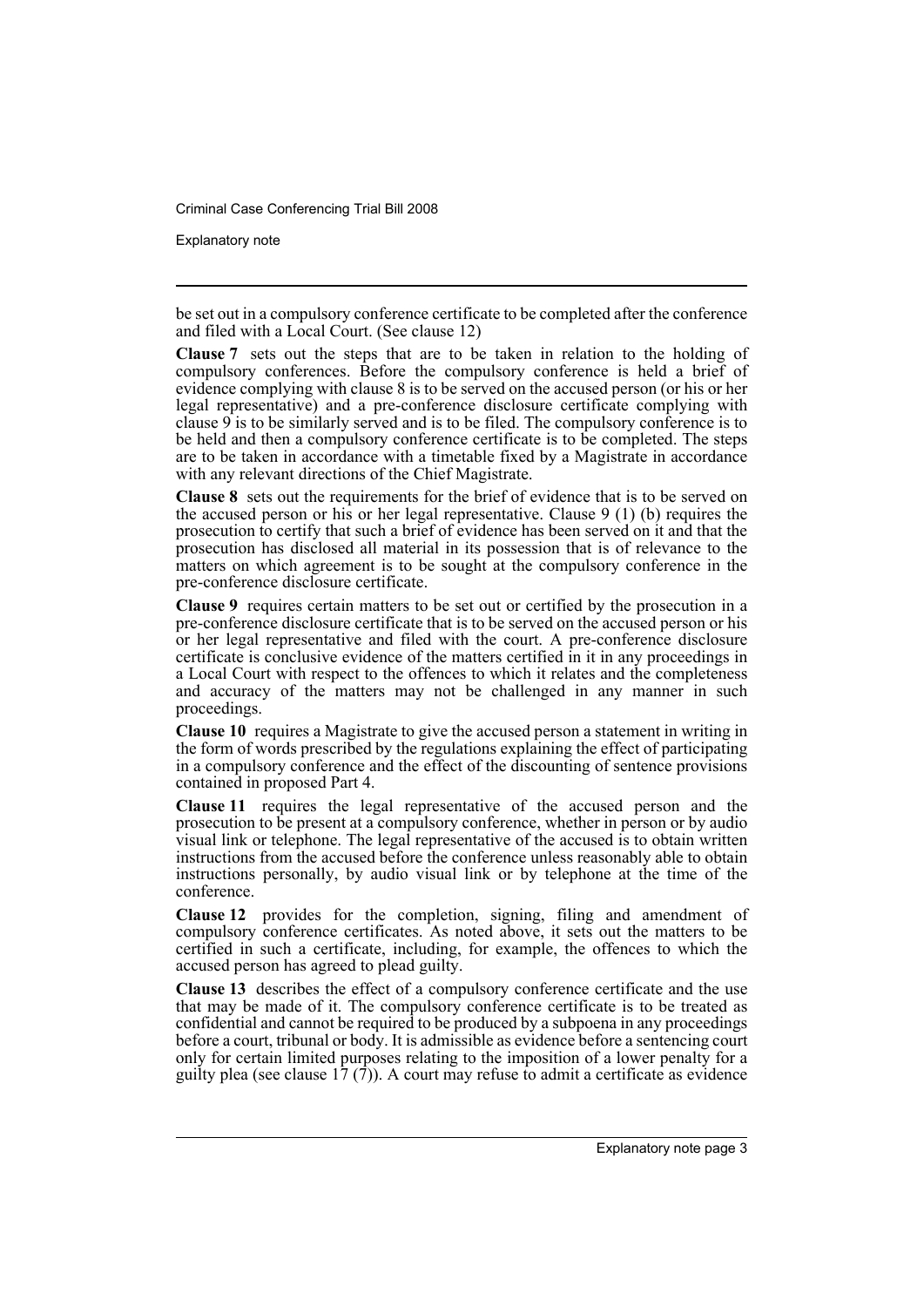Explanatory note

be set out in a compulsory conference certificate to be completed after the conference and filed with a Local Court. (See clause 12)

**Clause 7** sets out the steps that are to be taken in relation to the holding of compulsory conferences. Before the compulsory conference is held a brief of evidence complying with clause 8 is to be served on the accused person (or his or her legal representative) and a pre-conference disclosure certificate complying with clause  $9$  is to be similarly served and is to be filed. The compulsory conference is to be held and then a compulsory conference certificate is to be completed. The steps are to be taken in accordance with a timetable fixed by a Magistrate in accordance with any relevant directions of the Chief Magistrate.

**Clause 8** sets out the requirements for the brief of evidence that is to be served on the accused person or his or her legal representative. Clause 9 (1) (b) requires the prosecution to certify that such a brief of evidence has been served on it and that the prosecution has disclosed all material in its possession that is of relevance to the matters on which agreement is to be sought at the compulsory conference in the pre-conference disclosure certificate.

**Clause 9** requires certain matters to be set out or certified by the prosecution in a pre-conference disclosure certificate that is to be served on the accused person or his or her legal representative and filed with the court. A pre-conference disclosure certificate is conclusive evidence of the matters certified in it in any proceedings in a Local Court with respect to the offences to which it relates and the completeness and accuracy of the matters may not be challenged in any manner in such proceedings.

**Clause 10** requires a Magistrate to give the accused person a statement in writing in the form of words prescribed by the regulations explaining the effect of participating in a compulsory conference and the effect of the discounting of sentence provisions contained in proposed Part 4.

**Clause 11** requires the legal representative of the accused person and the prosecution to be present at a compulsory conference, whether in person or by audio visual link or telephone. The legal representative of the accused is to obtain written instructions from the accused before the conference unless reasonably able to obtain instructions personally, by audio visual link or by telephone at the time of the conference.

**Clause 12** provides for the completion, signing, filing and amendment of compulsory conference certificates. As noted above, it sets out the matters to be certified in such a certificate, including, for example, the offences to which the accused person has agreed to plead guilty.

**Clause 13** describes the effect of a compulsory conference certificate and the use that may be made of it. The compulsory conference certificate is to be treated as confidential and cannot be required to be produced by a subpoena in any proceedings before a court, tribunal or body. It is admissible as evidence before a sentencing court only for certain limited purposes relating to the imposition of a lower penalty for a guilty plea (see clause  $17(7)$ ). A court may refuse to admit a certificate as evidence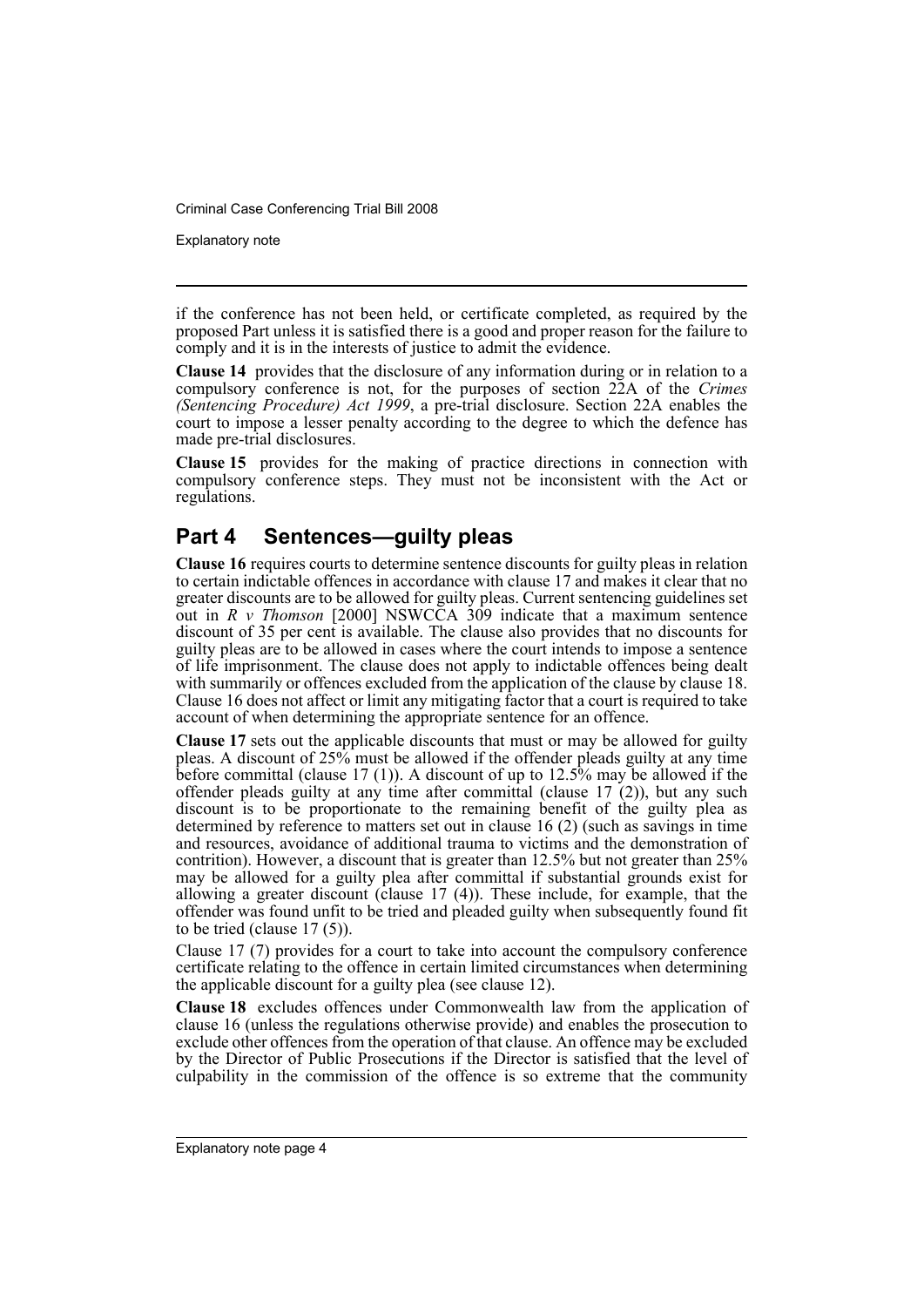Explanatory note

if the conference has not been held, or certificate completed, as required by the proposed Part unless it is satisfied there is a good and proper reason for the failure to comply and it is in the interests of justice to admit the evidence.

**Clause 14** provides that the disclosure of any information during or in relation to a compulsory conference is not, for the purposes of section 22A of the *Crimes (Sentencing Procedure) Act 1999*, a pre-trial disclosure. Section 22A enables the court to impose a lesser penalty according to the degree to which the defence has made pre-trial disclosures.

**Clause 15** provides for the making of practice directions in connection with compulsory conference steps. They must not be inconsistent with the Act or regulations.

## **Part 4 Sentences—guilty pleas**

**Clause 16** requires courts to determine sentence discounts for guilty pleas in relation to certain indictable offences in accordance with clause 17 and makes it clear that no greater discounts are to be allowed for guilty pleas. Current sentencing guidelines set out in *R v Thomson* [2000] NSWCCA 309 indicate that a maximum sentence discount of 35 per cent is available. The clause also provides that no discounts for guilty pleas are to be allowed in cases where the court intends to impose a sentence of life imprisonment. The clause does not apply to indictable offences being dealt with summarily or offences excluded from the application of the clause by clause 18. Clause 16 does not affect or limit any mitigating factor that a court is required to take account of when determining the appropriate sentence for an offence.

**Clause 17** sets out the applicable discounts that must or may be allowed for guilty pleas. A discount of 25% must be allowed if the offender pleads guilty at any time before committal (clause 17 (1)). A discount of up to 12.5% may be allowed if the offender pleads guilty at any time after committal (clause 17 (2)), but any such discount is to be proportionate to the remaining benefit of the guilty plea as determined by reference to matters set out in clause 16 (2) (such as savings in time and resources, avoidance of additional trauma to victims and the demonstration of contrition). However, a discount that is greater than 12.5% but not greater than 25% may be allowed for a guilty plea after committal if substantial grounds exist for allowing a greater discount (clause 17 (4)). These include, for example, that the offender was found unfit to be tried and pleaded guilty when subsequently found fit to be tried (clause 17 (5)).

Clause 17 (7) provides for a court to take into account the compulsory conference certificate relating to the offence in certain limited circumstances when determining the applicable discount for a guilty plea (see clause 12).

**Clause 18** excludes offences under Commonwealth law from the application of clause 16 (unless the regulations otherwise provide) and enables the prosecution to exclude other offences from the operation of that clause. An offence may be excluded by the Director of Public Prosecutions if the Director is satisfied that the level of culpability in the commission of the offence is so extreme that the community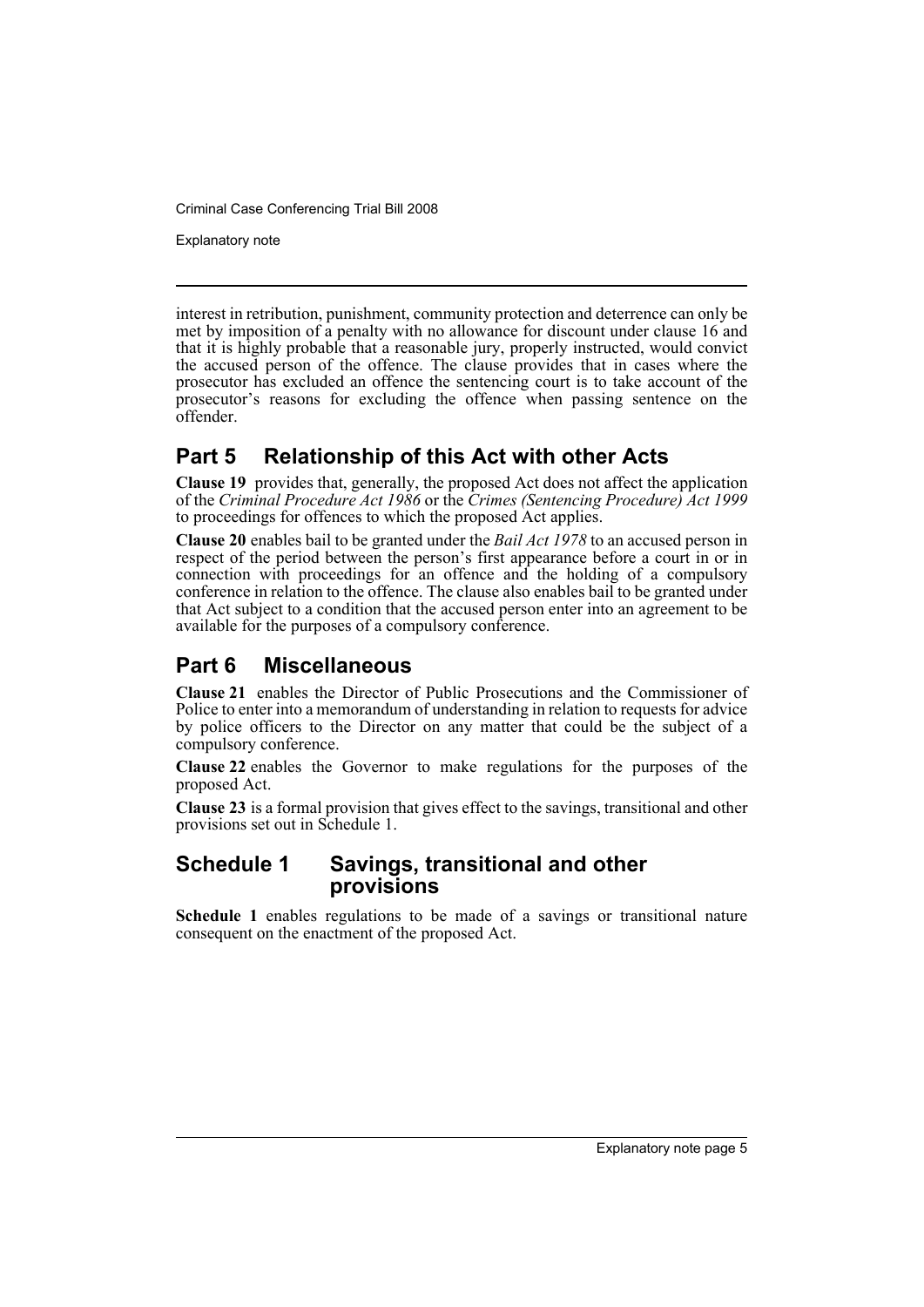Explanatory note

interest in retribution, punishment, community protection and deterrence can only be met by imposition of a penalty with no allowance for discount under clause 16 and that it is highly probable that a reasonable jury, properly instructed, would convict the accused person of the offence. The clause provides that in cases where the prosecutor has excluded an offence the sentencing court is to take account of the prosecutor's reasons for excluding the offence when passing sentence on the offender.

## **Part 5 Relationship of this Act with other Acts**

**Clause 19** provides that, generally, the proposed Act does not affect the application of the *Criminal Procedure Act 1986* or the *Crimes (Sentencing Procedure) Act 1999* to proceedings for offences to which the proposed Act applies.

**Clause 20** enables bail to be granted under the *Bail Act 1978* to an accused person in respect of the period between the person's first appearance before a court in or in connection with proceedings for an offence and the holding of a compulsory conference in relation to the offence. The clause also enables bail to be granted under that Act subject to a condition that the accused person enter into an agreement to be available for the purposes of a compulsory conference.

## **Part 6 Miscellaneous**

**Clause 21** enables the Director of Public Prosecutions and the Commissioner of Police to enter into a memorandum of understanding in relation to requests for advice by police officers to the Director on any matter that could be the subject of a compulsory conference.

**Clause 22** enables the Governor to make regulations for the purposes of the proposed Act.

**Clause 23** is a formal provision that gives effect to the savings, transitional and other provisions set out in Schedule 1.

### **Schedule 1 Savings, transitional and other provisions**

**Schedule 1** enables regulations to be made of a savings or transitional nature consequent on the enactment of the proposed Act.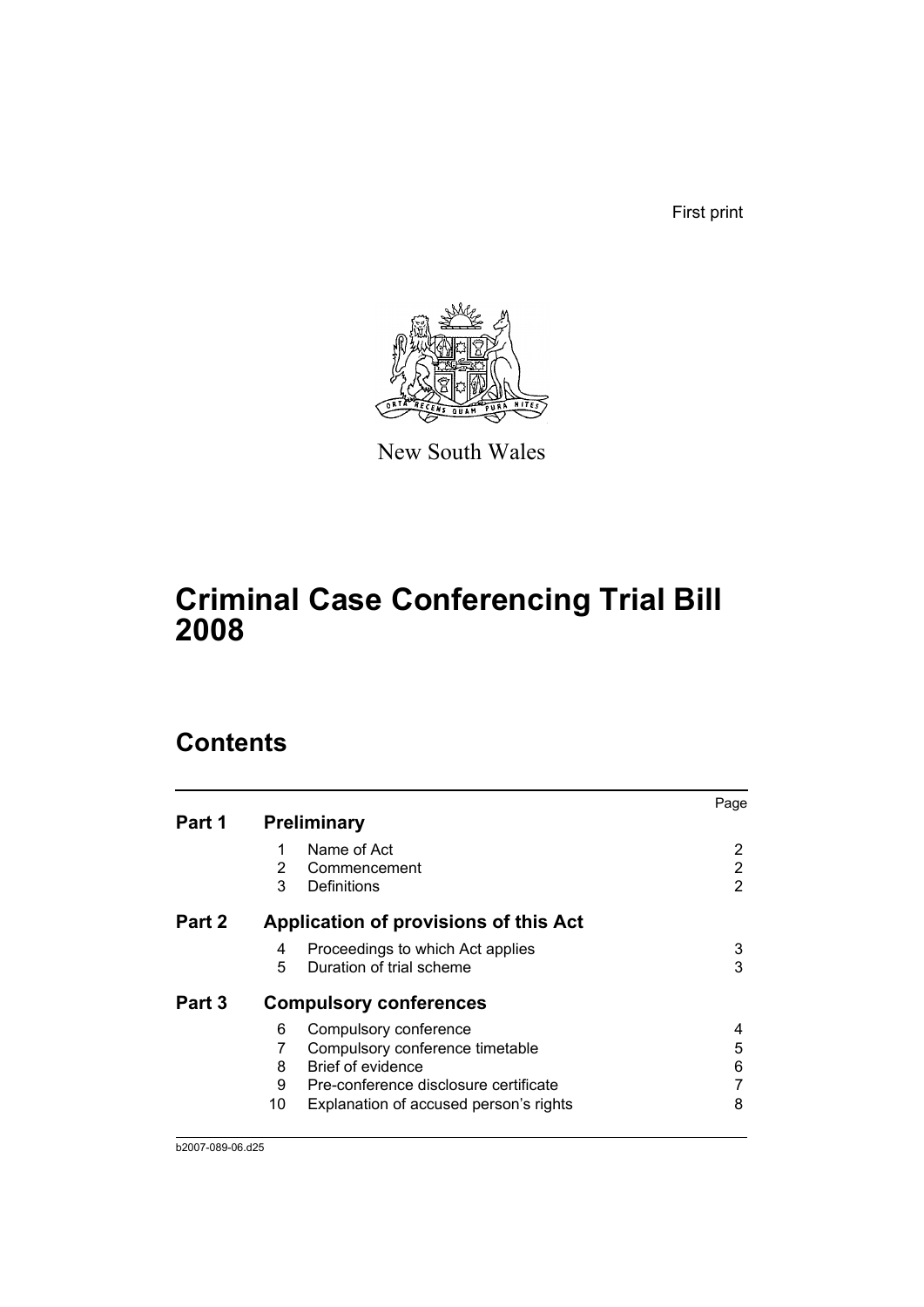First print



New South Wales

## **Criminal Case Conferencing Trial Bill 2008**

## **Contents**

|        |    |                                        | Page |
|--------|----|----------------------------------------|------|
| Part 1 |    | <b>Preliminary</b>                     |      |
|        | 1  | Name of Act                            | 2    |
|        | 2  | Commencement                           | 2    |
|        | 3  | Definitions                            | 2    |
| Part 2 |    | Application of provisions of this Act  |      |
|        | 4  | Proceedings to which Act applies       | 3    |
|        | 5  | Duration of trial scheme               | 3    |
| Part 3 |    | <b>Compulsory conferences</b>          |      |
|        | 6  | Compulsory conference                  | 4    |
|        |    | Compulsory conference timetable        | 5    |
|        | 8  | Brief of evidence                      | 6    |
|        | 9  | Pre-conference disclosure certificate  |      |
|        | 10 | Explanation of accused person's rights | 8    |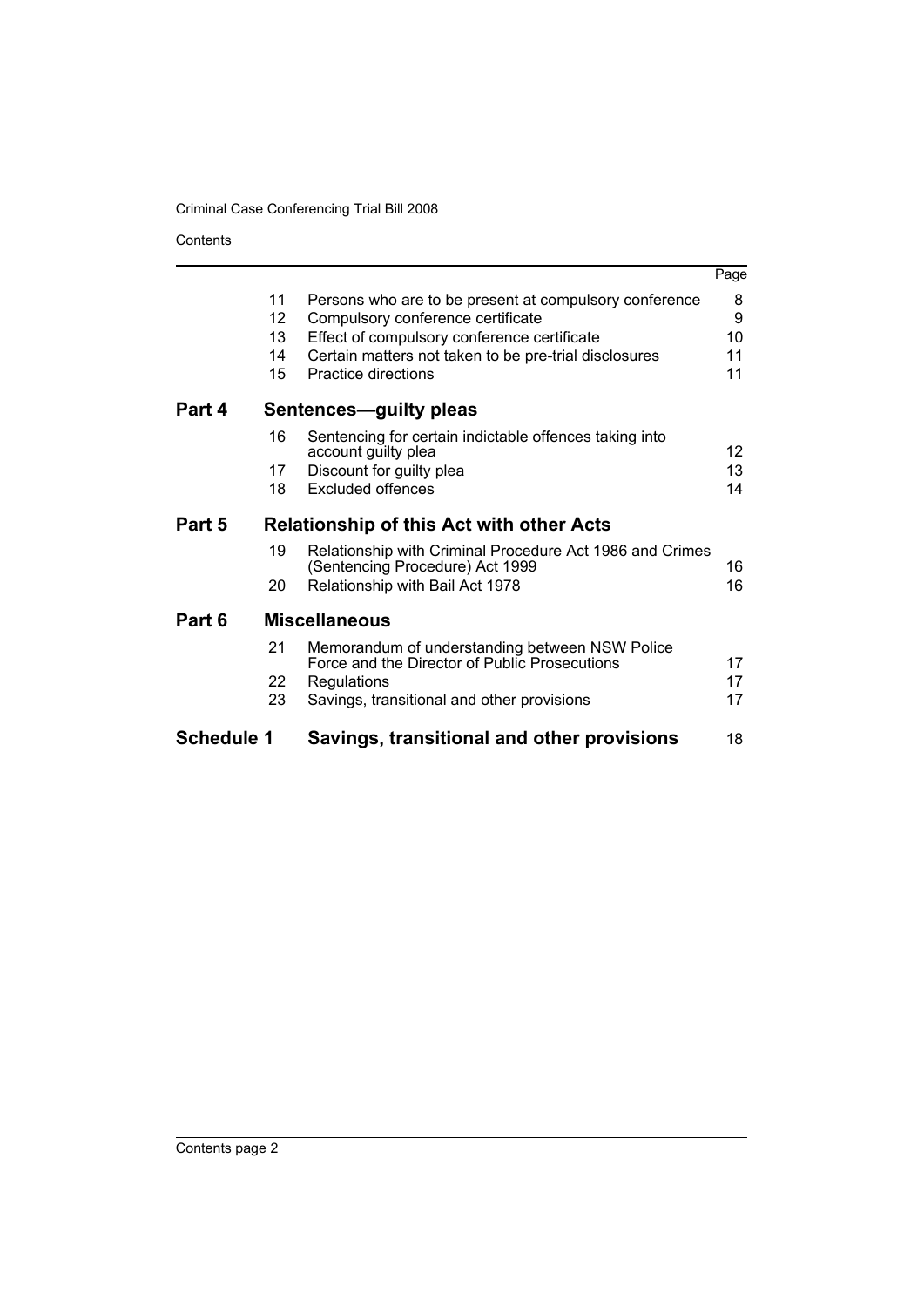Contents

|                   |                            |                                                                                                                                                                                                                            | Page                     |
|-------------------|----------------------------|----------------------------------------------------------------------------------------------------------------------------------------------------------------------------------------------------------------------------|--------------------------|
|                   | 11<br>12<br>13<br>14<br>15 | Persons who are to be present at compulsory conference<br>Compulsory conference certificate<br>Effect of compulsory conference certificate<br>Certain matters not taken to be pre-trial disclosures<br>Practice directions | 8<br>9<br>10<br>11<br>11 |
| Part 4            |                            | <b>Sentences-guilty pleas</b>                                                                                                                                                                                              |                          |
|                   | 16<br>17<br>18             | Sentencing for certain indictable offences taking into<br>account guilty plea<br>Discount for guilty plea<br>Excluded offences                                                                                             | 12<br>13<br>14           |
| Part 5            |                            | <b>Relationship of this Act with other Acts</b>                                                                                                                                                                            |                          |
|                   | 19<br>20                   | Relationship with Criminal Procedure Act 1986 and Crimes<br>(Sentencing Procedure) Act 1999<br>Relationship with Bail Act 1978                                                                                             | 16<br>16                 |
| Part 6            |                            | <b>Miscellaneous</b>                                                                                                                                                                                                       |                          |
|                   | 21                         | Memorandum of understanding between NSW Police<br>Force and the Director of Public Prosecutions                                                                                                                            | 17                       |
|                   | 22<br>23                   | <b>Regulations</b><br>Savings, transitional and other provisions                                                                                                                                                           | 17<br>17                 |
| <b>Schedule 1</b> |                            | Savings, transitional and other provisions                                                                                                                                                                                 | 18                       |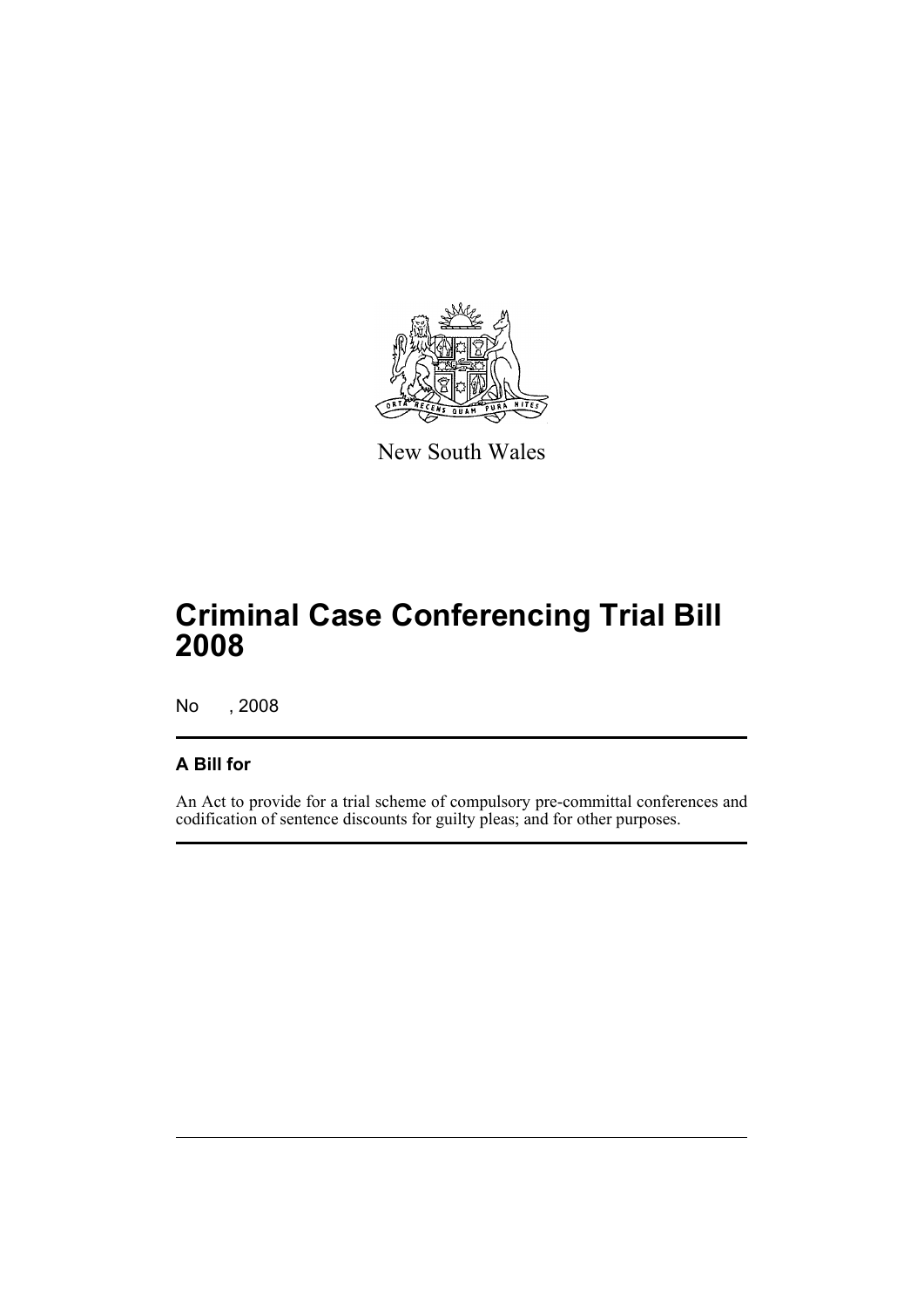

New South Wales

## **Criminal Case Conferencing Trial Bill 2008**

No , 2008

## **A Bill for**

An Act to provide for a trial scheme of compulsory pre-committal conferences and codification of sentence discounts for guilty pleas; and for other purposes.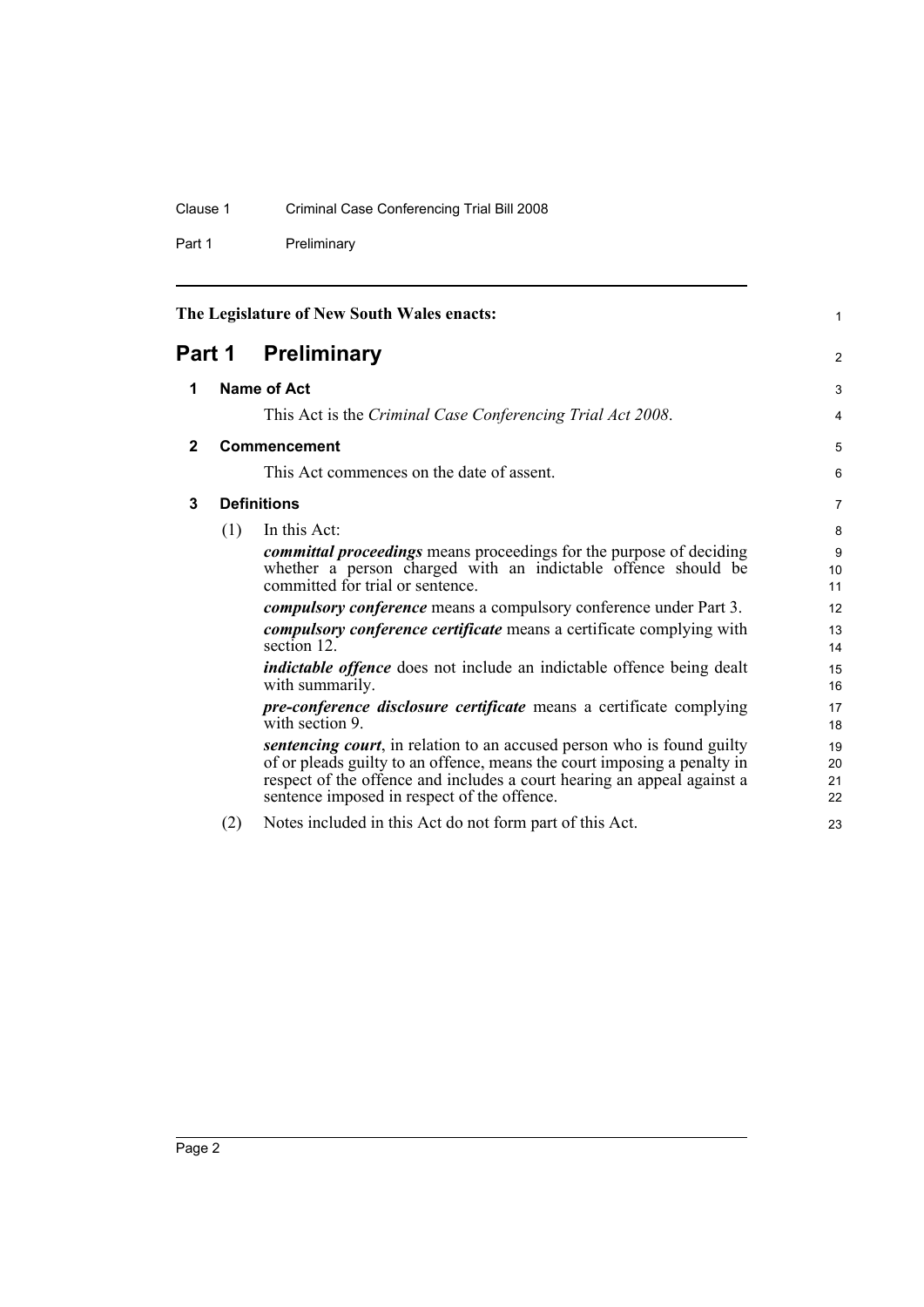## Clause 1 Criminal Case Conferencing Trial Bill 2008

Part 1 Preliminary

<span id="page-9-3"></span><span id="page-9-2"></span><span id="page-9-1"></span><span id="page-9-0"></span>

| The Legislature of New South Wales enacts: |                                                                          |                                                                                                                                                                                                                                                                                      | 1                    |  |
|--------------------------------------------|--------------------------------------------------------------------------|--------------------------------------------------------------------------------------------------------------------------------------------------------------------------------------------------------------------------------------------------------------------------------------|----------------------|--|
| Part 1                                     |                                                                          | <b>Preliminary</b>                                                                                                                                                                                                                                                                   |                      |  |
| 1                                          |                                                                          | <b>Name of Act</b>                                                                                                                                                                                                                                                                   |                      |  |
|                                            |                                                                          | This Act is the Criminal Case Conferencing Trial Act 2008.                                                                                                                                                                                                                           | 4                    |  |
| $\mathbf{2}$                               |                                                                          | Commencement                                                                                                                                                                                                                                                                         | 5                    |  |
|                                            |                                                                          | This Act commences on the date of assent.                                                                                                                                                                                                                                            | 6                    |  |
| 3                                          | <b>Definitions</b>                                                       |                                                                                                                                                                                                                                                                                      |                      |  |
|                                            | (1)                                                                      | In this Act:                                                                                                                                                                                                                                                                         | 8                    |  |
|                                            |                                                                          | committal proceedings means proceedings for the purpose of deciding<br>whether a person charged with an indictable offence should be<br>committed for trial or sentence.                                                                                                             | 9<br>10<br>11        |  |
|                                            | <i>compulsory conference</i> means a compulsory conference under Part 3. |                                                                                                                                                                                                                                                                                      | 12                   |  |
|                                            |                                                                          | <i>compulsory conference certificate</i> means a certificate complying with<br>section 12.                                                                                                                                                                                           | 13<br>14             |  |
|                                            |                                                                          | <i>indictable offence</i> does not include an indictable offence being dealt<br>with summarily.                                                                                                                                                                                      | 15<br>16             |  |
|                                            |                                                                          | pre-conference disclosure certificate means a certificate complying<br>with section 9.                                                                                                                                                                                               | 17<br>18             |  |
|                                            |                                                                          | <i>sentencing court</i> , in relation to an accused person who is found guilty<br>of or pleads guilty to an offence, means the court imposing a penalty in<br>respect of the offence and includes a court hearing an appeal against a<br>sentence imposed in respect of the offence. | 19<br>20<br>21<br>22 |  |
|                                            | (2)                                                                      | Notes included in this Act do not form part of this Act.                                                                                                                                                                                                                             | 23                   |  |
|                                            |                                                                          |                                                                                                                                                                                                                                                                                      |                      |  |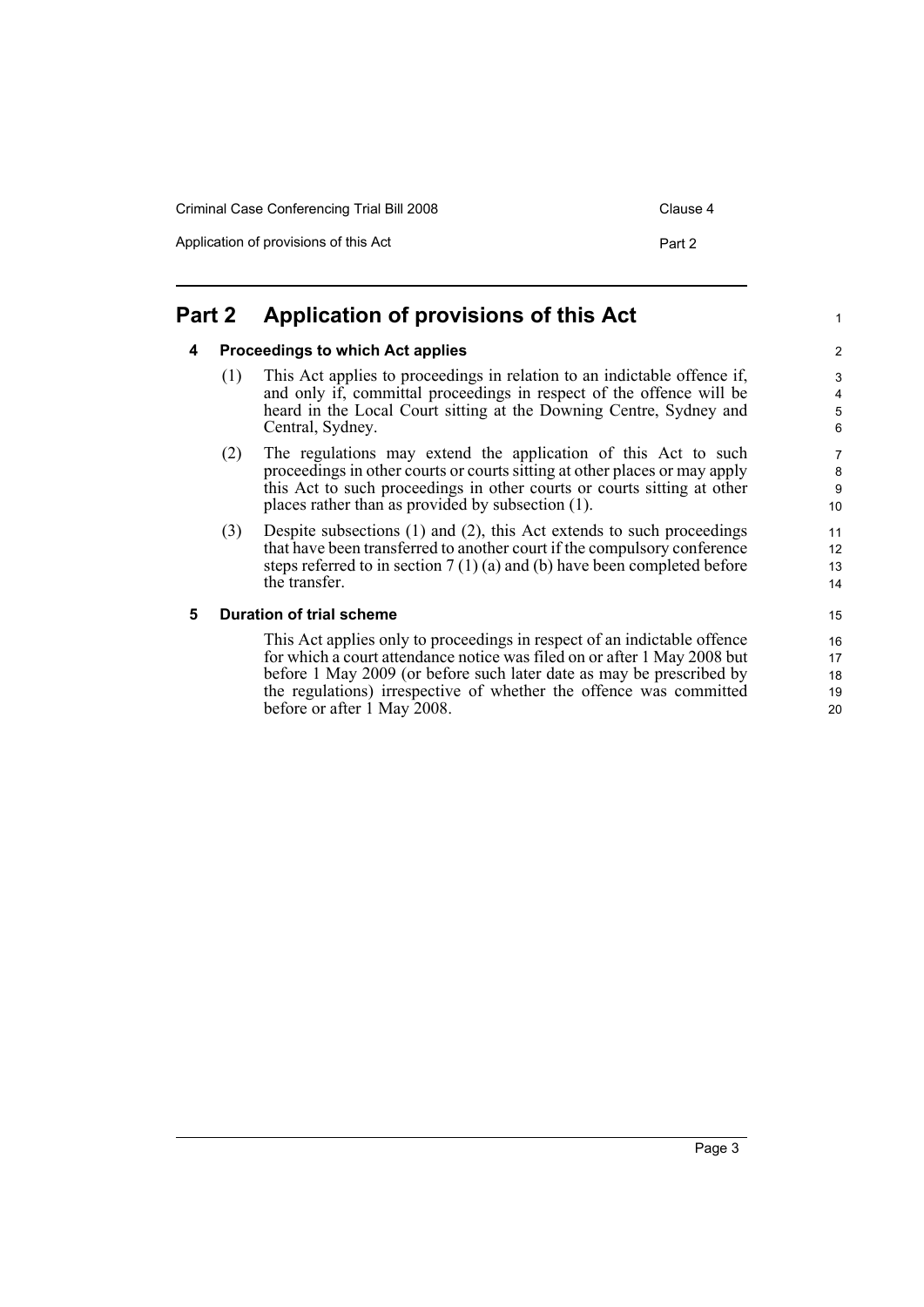Application of provisions of this Act Part 2

1

## <span id="page-10-1"></span><span id="page-10-0"></span>**Part 2 Application of provisions of this Act**

#### **4 Proceedings to which Act applies**

- (1) This Act applies to proceedings in relation to an indictable offence if, and only if, committal proceedings in respect of the offence will be heard in the Local Court sitting at the Downing Centre, Sydney and Central, Sydney.
- (2) The regulations may extend the application of this Act to such proceedings in other courts or courts sitting at other places or may apply this Act to such proceedings in other courts or courts sitting at other places rather than as provided by subsection (1).
- (3) Despite subsections (1) and (2), this Act extends to such proceedings that have been transferred to another court if the compulsory conference steps referred to in section 7 (1) (a) and (b) have been completed before the transfer.

#### <span id="page-10-2"></span>**5 Duration of trial scheme**

This Act applies only to proceedings in respect of an indictable offence for which a court attendance notice was filed on or after 1 May 2008 but before 1 May 2009 (or before such later date as may be prescribed by the regulations) irrespective of whether the offence was committed before or after 1 May 2008.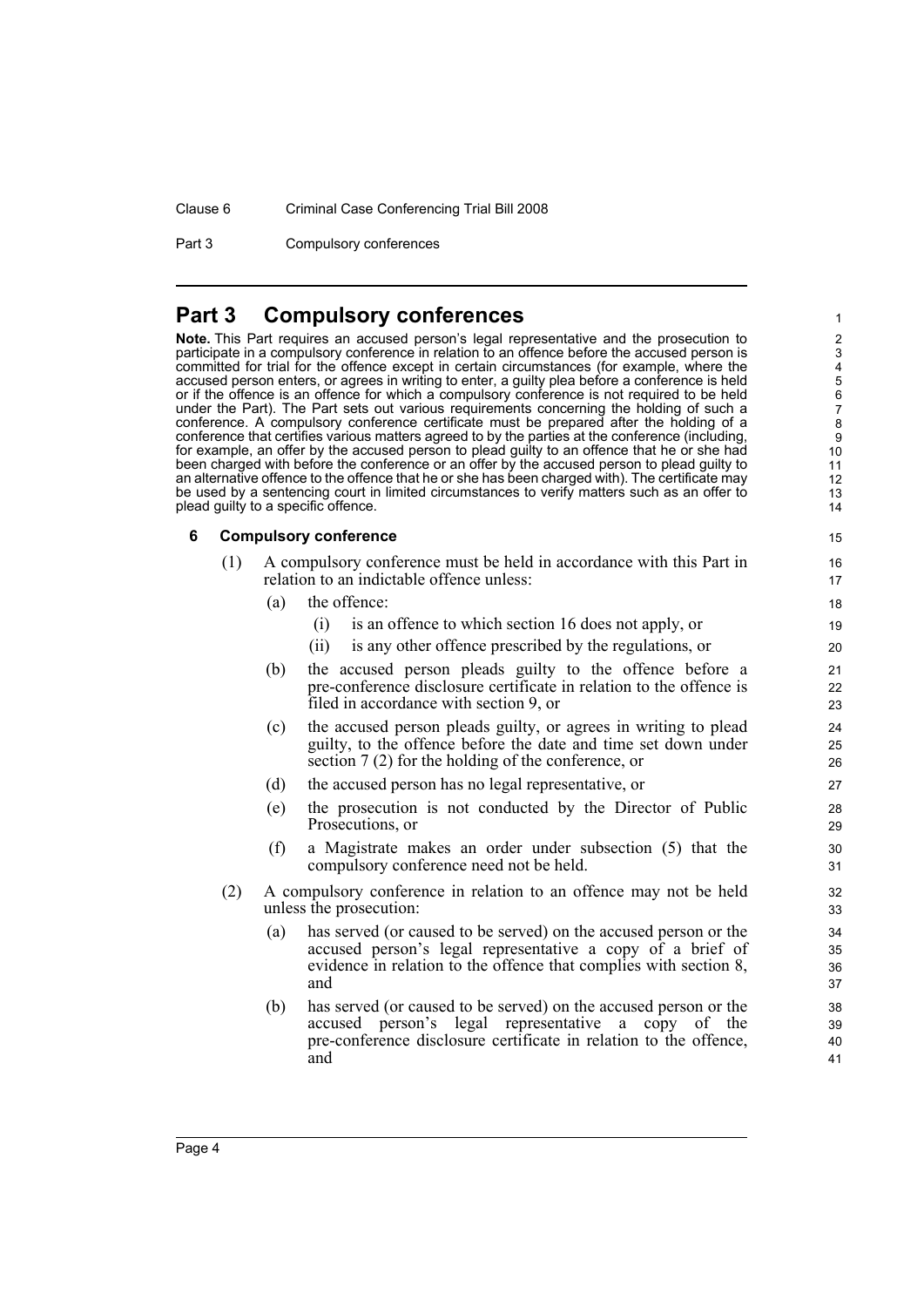#### Clause 6 Criminal Case Conferencing Trial Bill 2008

Part 3 Compulsory conferences

### <span id="page-11-0"></span>**Part 3 Compulsory conferences**

**Note.** This Part requires an accused person's legal representative and the prosecution to participate in a compulsory conference in relation to an offence before the accused person is committed for trial for the offence except in certain circumstances (for example, where the accused person enters, or agrees in writing to enter, a guilty plea before a conference is held or if the offence is an offence for which a compulsory conference is not required to be held under the Part). The Part sets out various requirements concerning the holding of such a conference. A compulsory conference certificate must be prepared after the holding of a conference that certifies various matters agreed to by the parties at the conference (including, for example, an offer by the accused person to plead guilty to an offence that he or she had been charged with before the conference or an offer by the accused person to plead guilty to an alternative offence to the offence that he or she has been charged with). The certificate may be used by a sentencing court in limited circumstances to verify matters such as an offer to plead guilty to a specific offence.

#### <span id="page-11-1"></span>**6 Compulsory conference**

| A compulsory conference must be held in accordance with this Part in |
|----------------------------------------------------------------------|
| relation to an indictable offence unless:                            |

- (a) the offence:
	- (i) is an offence to which section 16 does not apply, or
	- (ii) is any other offence prescribed by the regulations, or

- (b) the accused person pleads guilty to the offence before a pre-conference disclosure certificate in relation to the offence is filed in accordance with section 9, or
- (c) the accused person pleads guilty, or agrees in writing to plead guilty, to the offence before the date and time set down under section 7 (2) for the holding of the conference, or
- (d) the accused person has no legal representative, or
- (e) the prosecution is not conducted by the Director of Public Prosecutions, or
- (f) a Magistrate makes an order under subsection (5) that the compulsory conference need not be held.
- (2) A compulsory conference in relation to an offence may not be held unless the prosecution:
	- (a) has served (or caused to be served) on the accused person or the accused person's legal representative a copy of a brief of evidence in relation to the offence that complies with section 8, and
	- (b) has served (or caused to be served) on the accused person or the accused person's legal representative a copy of the pre-conference disclosure certificate in relation to the offence, and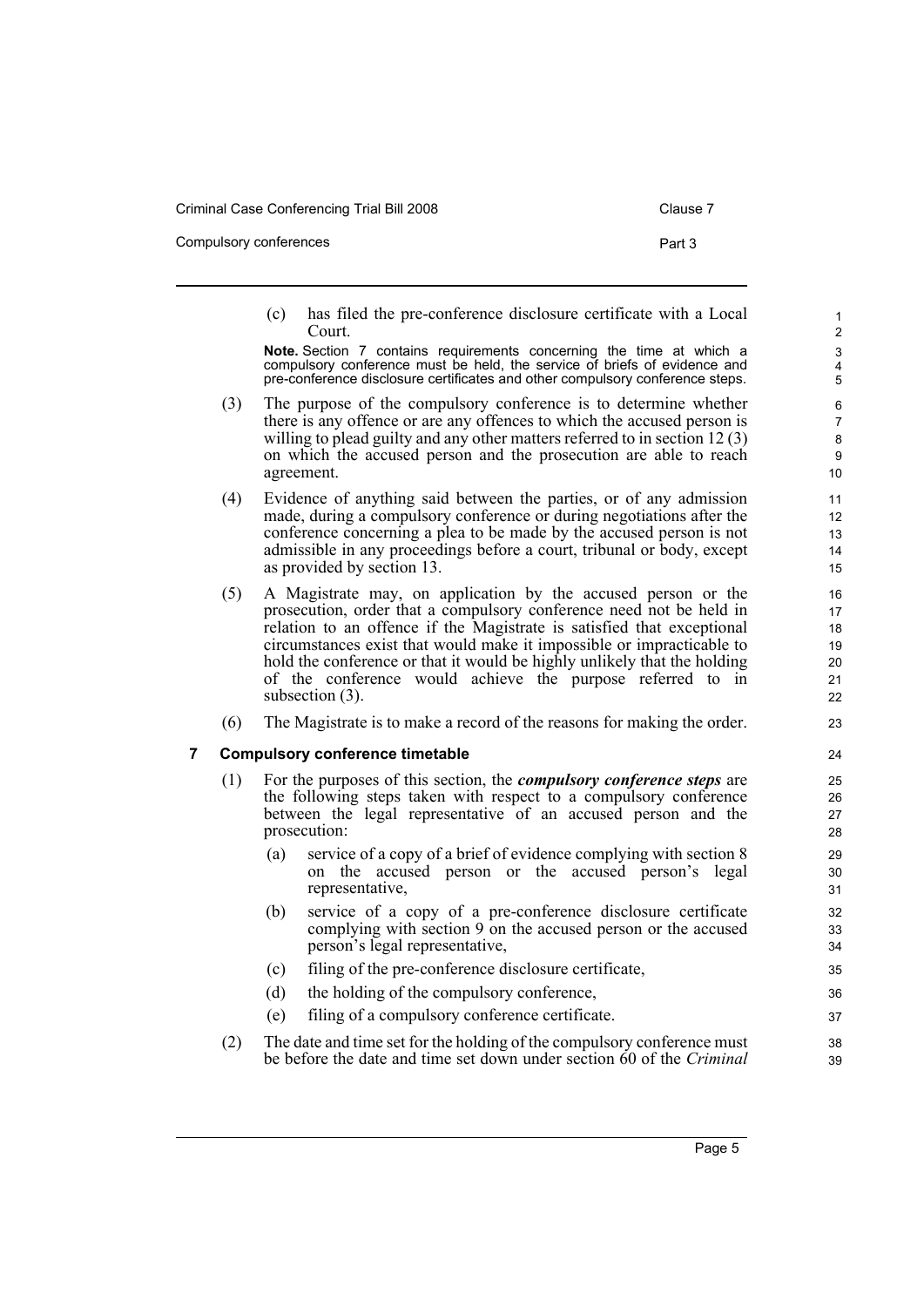Compulsory conferences **Part 3** 

- 
- (c) has filed the pre-conference disclosure certificate with a Local Court.

**Note.** Section 7 contains requirements concerning the time at which a compulsory conference must be held, the service of briefs of evidence and pre-conference disclosure certificates and other compulsory conference steps.

- (3) The purpose of the compulsory conference is to determine whether there is any offence or are any offences to which the accused person is willing to plead guilty and any other matters referred to in section 12 (3) on which the accused person and the prosecution are able to reach agreement.
- (4) Evidence of anything said between the parties, or of any admission made, during a compulsory conference or during negotiations after the conference concerning a plea to be made by the accused person is not admissible in any proceedings before a court, tribunal or body, except as provided by section 13.
- (5) A Magistrate may, on application by the accused person or the prosecution, order that a compulsory conference need not be held in relation to an offence if the Magistrate is satisfied that exceptional circumstances exist that would make it impossible or impracticable to hold the conference or that it would be highly unlikely that the holding of the conference would achieve the purpose referred to in subsection (3).
- (6) The Magistrate is to make a record of the reasons for making the order.

#### <span id="page-12-0"></span>**7 Compulsory conference timetable**

- (1) For the purposes of this section, the *compulsory conference steps* are the following steps taken with respect to a compulsory conference between the legal representative of an accused person and the prosecution:
	- (a) service of a copy of a brief of evidence complying with section 8 on the accused person or the accused person's legal representative,
	- (b) service of a copy of a pre-conference disclosure certificate complying with section 9 on the accused person or the accused person's legal representative,
	- (c) filing of the pre-conference disclosure certificate,
	- (d) the holding of the compulsory conference,
	- (e) filing of a compulsory conference certificate.
- (2) The date and time set for the holding of the compulsory conference must be before the date and time set down under section 60 of the *Criminal*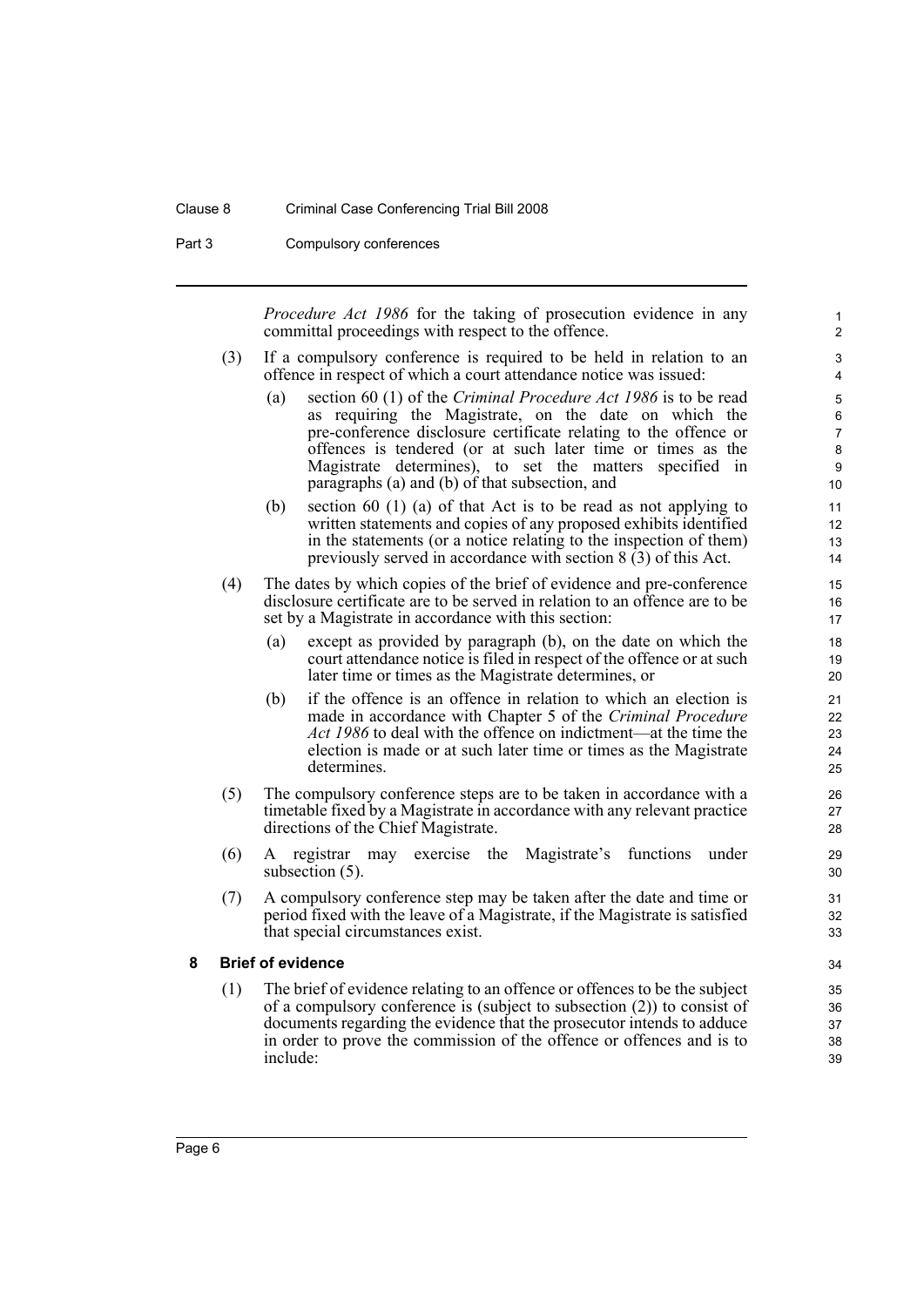#### Clause 8 Criminal Case Conferencing Trial Bill 2008

Part 3 Compulsory conferences

*Procedure Act 1986* for the taking of prosecution evidence in any committal proceedings with respect to the offence.

- (3) If a compulsory conference is required to be held in relation to an offence in respect of which a court attendance notice was issued:
	- (a) section 60 (1) of the *Criminal Procedure Act 1986* is to be read as requiring the Magistrate, on the date on which the pre-conference disclosure certificate relating to the offence or offences is tendered (or at such later time or times as the Magistrate determines), to set the matters specified in paragraphs (a) and (b) of that subsection, and
	- (b) section 60 (1) (a) of that Act is to be read as not applying to written statements and copies of any proposed exhibits identified in the statements (or a notice relating to the inspection of them) previously served in accordance with section 8 (3) of this Act.
- (4) The dates by which copies of the brief of evidence and pre-conference disclosure certificate are to be served in relation to an offence are to be set by a Magistrate in accordance with this section:
	- (a) except as provided by paragraph (b), on the date on which the court attendance notice is filed in respect of the offence or at such later time or times as the Magistrate determines, or
	- (b) if the offence is an offence in relation to which an election is made in accordance with Chapter 5 of the *Criminal Procedure Act 1986* to deal with the offence on indictment—at the time the election is made or at such later time or times as the Magistrate determines.
- (5) The compulsory conference steps are to be taken in accordance with a timetable fixed by a Magistrate in accordance with any relevant practice directions of the Chief Magistrate.
- (6) A registrar may exercise the Magistrate's functions under subsection  $(5)$ .
- (7) A compulsory conference step may be taken after the date and time or period fixed with the leave of a Magistrate, if the Magistrate is satisfied that special circumstances exist.

#### <span id="page-13-0"></span>**8 Brief of evidence**

(1) The brief of evidence relating to an offence or offences to be the subject of a compulsory conference is (subject to subsection (2)) to consist of documents regarding the evidence that the prosecutor intends to adduce in order to prove the commission of the offence or offences and is to include:

34 35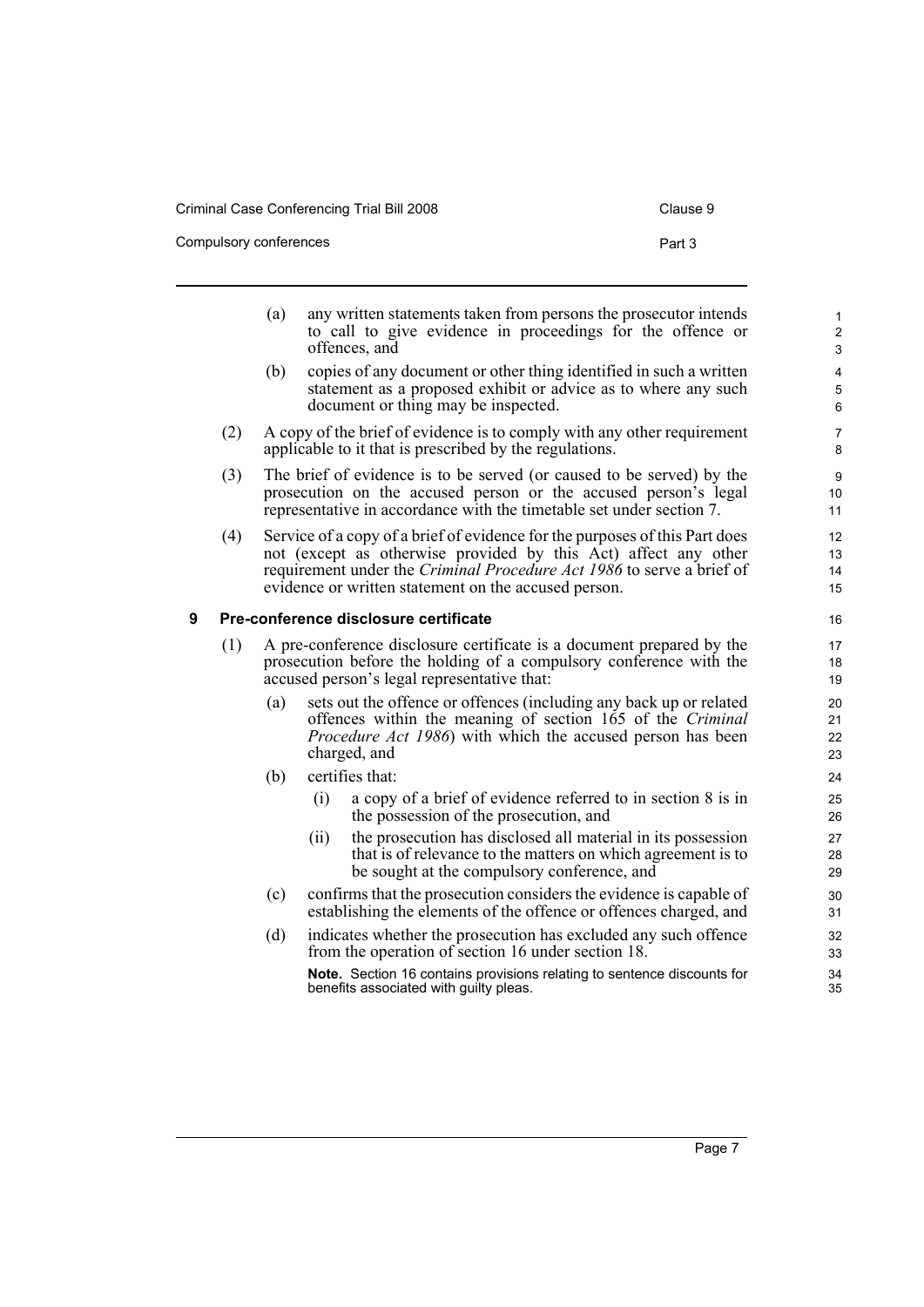Compulsory conferences **Part 3** 

- (a) any written statements taken from persons the prosecutor intends to call to give evidence in proceedings for the offence or offences, and
- (b) copies of any document or other thing identified in such a written statement as a proposed exhibit or advice as to where any such document or thing may be inspected.
- (2) A copy of the brief of evidence is to comply with any other requirement applicable to it that is prescribed by the regulations.
- (3) The brief of evidence is to be served (or caused to be served) by the prosecution on the accused person or the accused person's legal representative in accordance with the timetable set under section 7.
- (4) Service of a copy of a brief of evidence for the purposes of this Part does not (except as otherwise provided by this Act) affect any other requirement under the *Criminal Procedure Act 1986* to serve a brief of evidence or written statement on the accused person.

#### <span id="page-14-0"></span>**9 Pre-conference disclosure certificate**

- (1) A pre-conference disclosure certificate is a document prepared by the prosecution before the holding of a compulsory conference with the accused person's legal representative that:
	- (a) sets out the offence or offences (including any back up or related offences within the meaning of section 165 of the *Criminal Procedure Act 1986*) with which the accused person has been charged, and
	- (b) certifies that:
		- (i) a copy of a brief of evidence referred to in section 8 is in the possession of the prosecution, and
		- (ii) the prosecution has disclosed all material in its possession that is of relevance to the matters on which agreement is to be sought at the compulsory conference, and
	- (c) confirms that the prosecution considers the evidence is capable of establishing the elements of the offence or offences charged, and
	- (d) indicates whether the prosecution has excluded any such offence from the operation of section 16 under section 18.

**Note.** Section 16 contains provisions relating to sentence discounts for benefits associated with guilty pleas.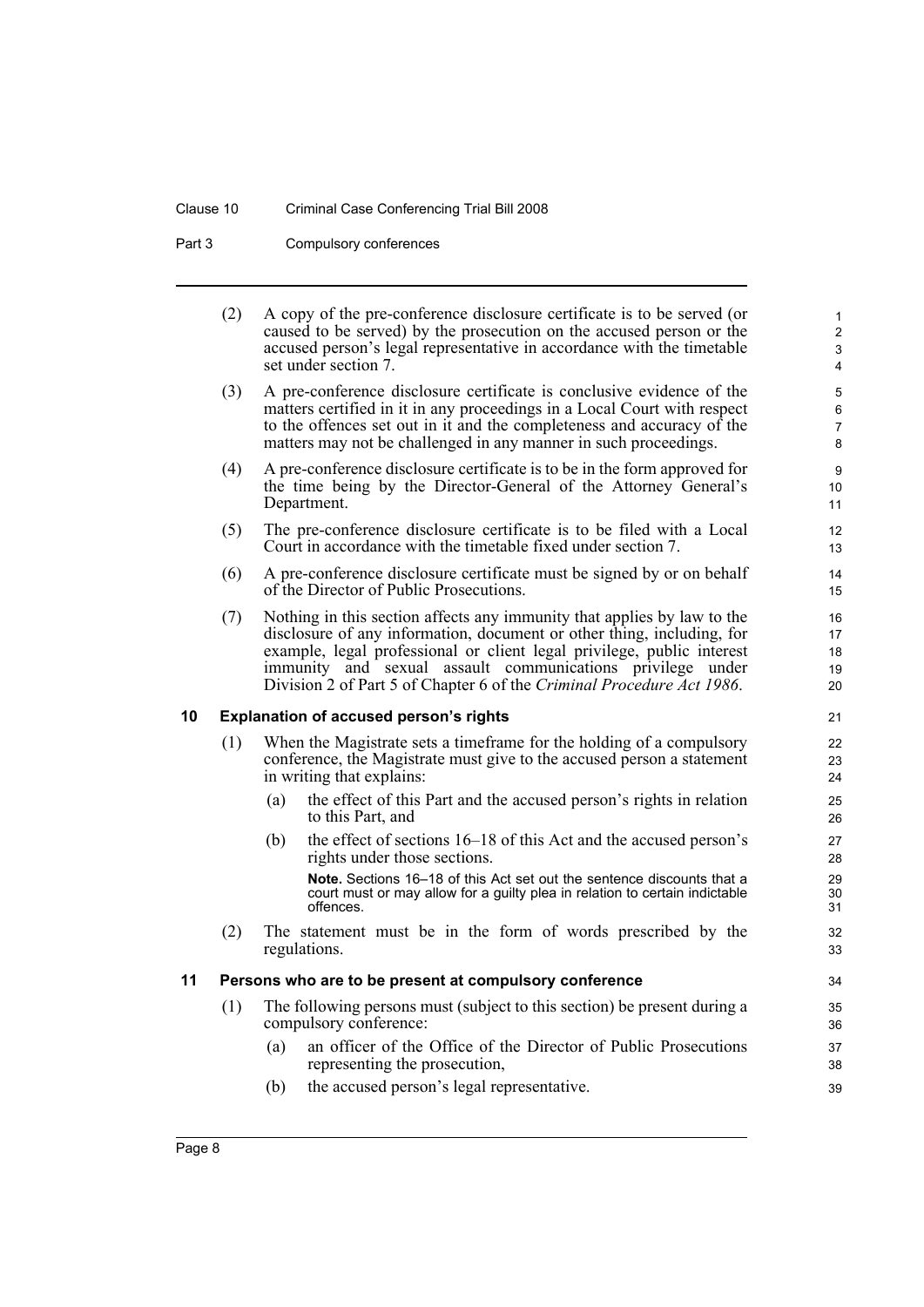### Clause 10 Criminal Case Conferencing Trial Bill 2008

Part 3 Compulsory conferences

<span id="page-15-0"></span>

|    | (2) |     | A copy of the pre-conference disclosure certificate is to be served (or<br>caused to be served) by the prosecution on the accused person or the<br>accused person's legal representative in accordance with the timetable<br>set under section 7.                                                                                                                  | $\mathbf{1}$<br>$\mathbf{2}$<br>3<br>4  |
|----|-----|-----|--------------------------------------------------------------------------------------------------------------------------------------------------------------------------------------------------------------------------------------------------------------------------------------------------------------------------------------------------------------------|-----------------------------------------|
|    | (3) |     | A pre-conference disclosure certificate is conclusive evidence of the<br>matters certified in it in any proceedings in a Local Court with respect<br>to the offences set out in it and the completeness and accuracy of the<br>matters may not be challenged in any manner in such proceedings.                                                                    | $\mathbf 5$<br>6<br>$\overline{7}$<br>8 |
|    | (4) |     | A pre-conference disclosure certificate is to be in the form approved for<br>the time being by the Director-General of the Attorney General's<br>Department.                                                                                                                                                                                                       | 9<br>10<br>11                           |
|    | (5) |     | The pre-conference disclosure certificate is to be filed with a Local<br>Court in accordance with the timetable fixed under section 7.                                                                                                                                                                                                                             | 12<br>13                                |
|    | (6) |     | A pre-conference disclosure certificate must be signed by or on behalf<br>of the Director of Public Prosecutions.                                                                                                                                                                                                                                                  | 14<br>15                                |
|    | (7) |     | Nothing in this section affects any immunity that applies by law to the<br>disclosure of any information, document or other thing, including, for<br>example, legal professional or client legal privilege, public interest<br>immunity and sexual assault communications privilege under<br>Division 2 of Part 5 of Chapter 6 of the Criminal Procedure Act 1986. | 16<br>17<br>18<br>19<br>20              |
| 10 |     |     | <b>Explanation of accused person's rights</b>                                                                                                                                                                                                                                                                                                                      | 21                                      |
|    | (1) |     | When the Magistrate sets a timeframe for the holding of a compulsory<br>conference, the Magistrate must give to the accused person a statement<br>in writing that explains:                                                                                                                                                                                        | 22<br>23<br>24                          |
|    |     | (a) | the effect of this Part and the accused person's rights in relation<br>to this Part, and                                                                                                                                                                                                                                                                           | 25<br>26                                |
|    |     | (b) | the effect of sections 16–18 of this Act and the accused person's<br>rights under those sections.                                                                                                                                                                                                                                                                  | 27<br>28                                |
|    |     |     | Note. Sections 16–18 of this Act set out the sentence discounts that a<br>court must or may allow for a guilty plea in relation to certain indictable<br>offences.                                                                                                                                                                                                 | 29<br>30<br>31                          |
|    | (2) |     | The statement must be in the form of words prescribed by the<br>regulations.                                                                                                                                                                                                                                                                                       | 32<br>33                                |
| 11 |     |     | Persons who are to be present at compulsory conference                                                                                                                                                                                                                                                                                                             | 34                                      |
|    | (1) |     | The following persons must (subject to this section) be present during a<br>compulsory conference:                                                                                                                                                                                                                                                                 | 35<br>36                                |
|    |     | (a) | an officer of the Office of the Director of Public Prosecutions<br>representing the prosecution,                                                                                                                                                                                                                                                                   | 37<br>38                                |
|    |     | (b) | the accused person's legal representative.                                                                                                                                                                                                                                                                                                                         | 39                                      |

<span id="page-15-1"></span>Page 8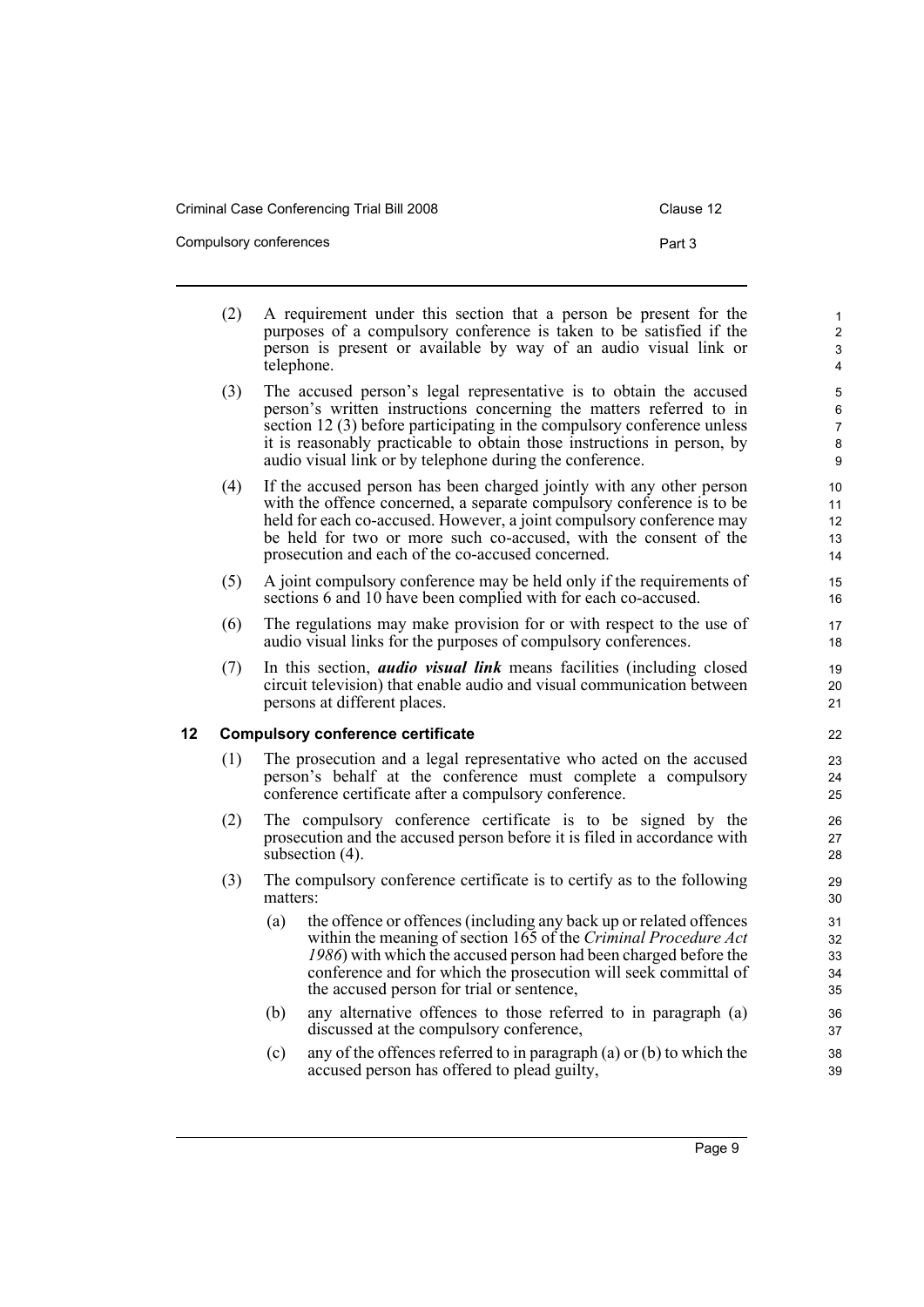Compulsory conferences **Part 3** 

7

- <span id="page-16-0"></span>(2) A requirement under this section that a person be present for the purposes of a compulsory conference is taken to be satisfied if the person is present or available by way of an audio visual link or telephone. (3) The accused person's legal representative is to obtain the accused person's written instructions concerning the matters referred to in section 12 (3) before participating in the compulsory conference unless it is reasonably practicable to obtain those instructions in person, by audio visual link or by telephone during the conference. (4) If the accused person has been charged jointly with any other person with the offence concerned, a separate compulsory conference is to be held for each co-accused. However, a joint compulsory conference may be held for two or more such co-accused, with the consent of the prosecution and each of the co-accused concerned. (5) A joint compulsory conference may be held only if the requirements of sections 6 and 10 have been complied with for each co-accused. (6) The regulations may make provision for or with respect to the use of audio visual links for the purposes of compulsory conferences. (7) In this section, *audio visual link* means facilities (including closed circuit television) that enable audio and visual communication between persons at different places. **12 Compulsory conference certificate** (1) The prosecution and a legal representative who acted on the accused person's behalf at the conference must complete a compulsory conference certificate after a compulsory conference. (2) The compulsory conference certificate is to be signed by the prosecution and the accused person before it is filed in accordance with subsection (4). (3) The compulsory conference certificate is to certify as to the following matters: (a) the offence or offences (including any back up or related offences within the meaning of section 165 of the *Criminal Procedure Act 1986*) with which the accused person had been charged before the conference and for which the prosecution will seek committal of the accused person for trial or sentence, (b) any alternative offences to those referred to in paragraph (a) discussed at the compulsory conference, 6 8 9 10 11 12 13 14 15 16 17 18 19  $20$ 21 22 23  $24$ 25 26 27 28 29 30 31 32 33 34 35 36 37 38
	- (c) any of the offences referred to in paragraph (a) or (b) to which the accused person has offered to plead guilty,

39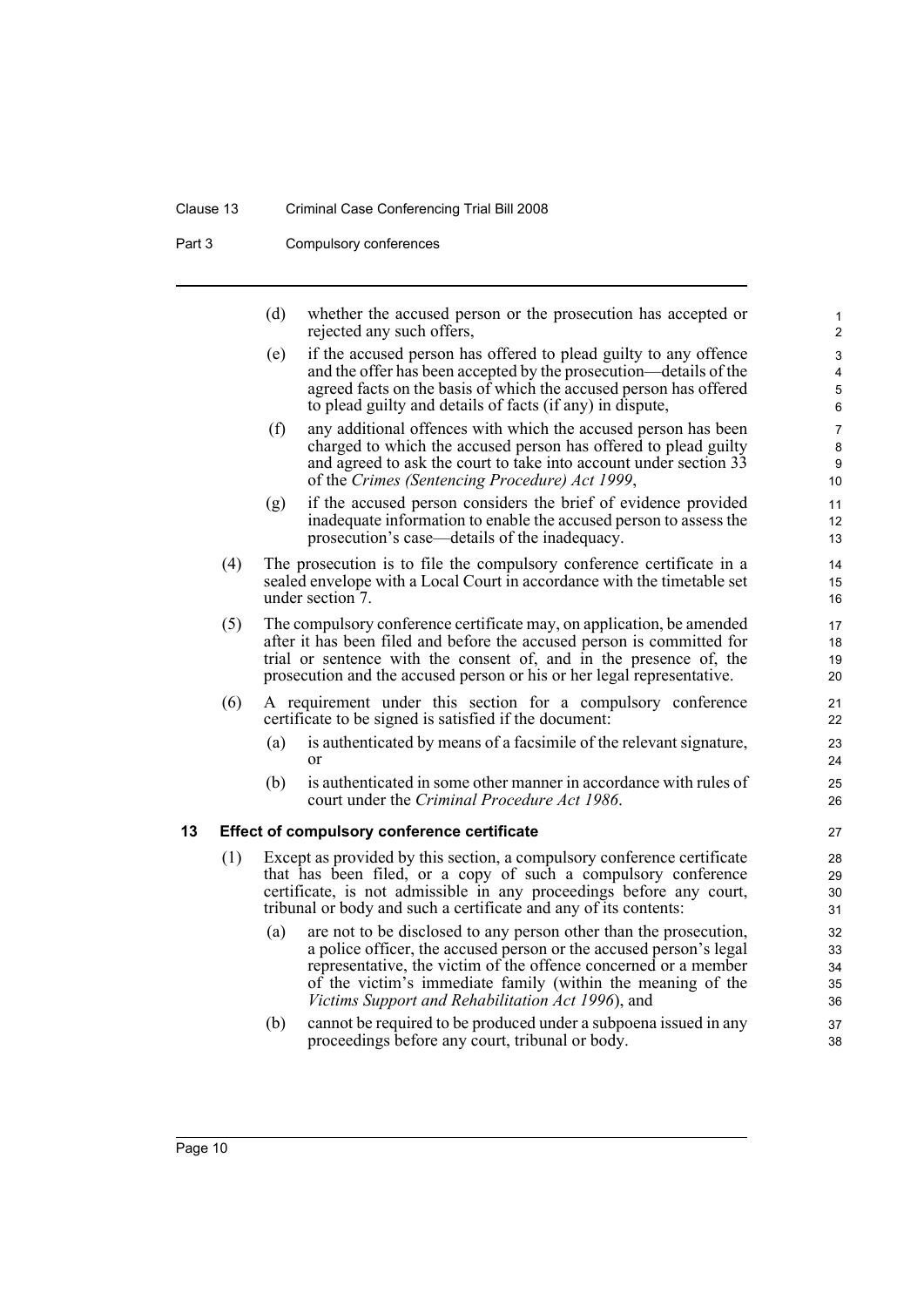#### Clause 13 Criminal Case Conferencing Trial Bill 2008

Part 3 Compulsory conferences

(d) whether the accused person or the prosecution has accepted or rejected any such offers,

- (e) if the accused person has offered to plead guilty to any offence and the offer has been accepted by the prosecution—details of the agreed facts on the basis of which the accused person has offered to plead guilty and details of facts (if any) in dispute,
- (f) any additional offences with which the accused person has been charged to which the accused person has offered to plead guilty and agreed to ask the court to take into account under section 33 of the *Crimes (Sentencing Procedure) Act 1999*,
- (g) if the accused person considers the brief of evidence provided inadequate information to enable the accused person to assess the prosecution's case—details of the inadequacy.
- (4) The prosecution is to file the compulsory conference certificate in a sealed envelope with a Local Court in accordance with the timetable set under section 7.
- (5) The compulsory conference certificate may, on application, be amended after it has been filed and before the accused person is committed for trial or sentence with the consent of, and in the presence of, the prosecution and the accused person or his or her legal representative.
- (6) A requirement under this section for a compulsory conference certificate to be signed is satisfied if the document:
	- (a) is authenticated by means of a facsimile of the relevant signature, or
	- (b) is authenticated in some other manner in accordance with rules of court under the *Criminal Procedure Act 1986*.

#### <span id="page-17-0"></span>**13 Effect of compulsory conference certificate**

- (1) Except as provided by this section, a compulsory conference certificate that has been filed, or a copy of such a compulsory conference certificate, is not admissible in any proceedings before any court, tribunal or body and such a certificate and any of its contents:
	- (a) are not to be disclosed to any person other than the prosecution, a police officer, the accused person or the accused person's legal representative, the victim of the offence concerned or a member of the victim's immediate family (within the meaning of the *Victims Support and Rehabilitation Act 1996*), and
	- (b) cannot be required to be produced under a subpoena issued in any proceedings before any court, tribunal or body.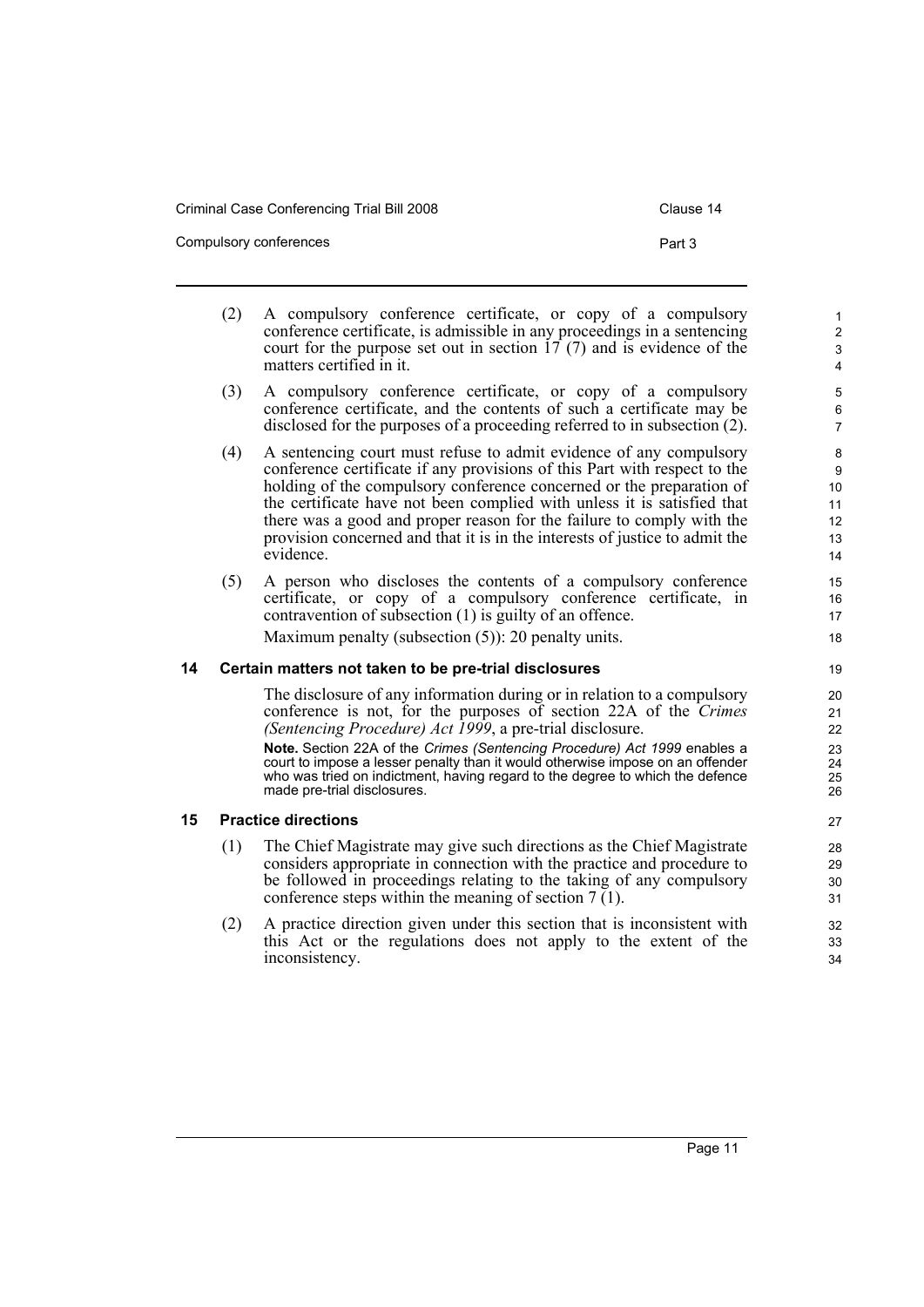Criminal Case Conferencing Trial Bill 2008 Clause 14

Compulsory conferences **Part 3** 

- (2) A compulsory conference certificate, or copy of a compulsory conference certificate, is admissible in any proceedings in a sentencing court for the purpose set out in section  $17(7)$  and is evidence of the matters certified in it. (3) A compulsory conference certificate, or copy of a compulsory conference certificate, and the contents of such a certificate may be disclosed for the purposes of a proceeding referred to in subsection (2).
- (4) A sentencing court must refuse to admit evidence of any compulsory conference certificate if any provisions of this Part with respect to the holding of the compulsory conference concerned or the preparation of the certificate have not been complied with unless it is satisfied that there was a good and proper reason for the failure to comply with the provision concerned and that it is in the interests of justice to admit the evidence.
- (5) A person who discloses the contents of a compulsory conference certificate, or copy of a compulsory conference certificate, in contravention of subsection (1) is guilty of an offence. Maximum penalty (subsection (5)): 20 penalty units.

#### <span id="page-18-0"></span>**14 Certain matters not taken to be pre-trial disclosures**

The disclosure of any information during or in relation to a compulsory conference is not, for the purposes of section 22A of the *Crimes (Sentencing Procedure) Act 1999*, a pre-trial disclosure.

**Note.** Section 22A of the *Crimes (Sentencing Procedure) Act 1999* enables a court to impose a lesser penalty than it would otherwise impose on an offender who was tried on indictment, having regard to the degree to which the defence made pre-trial disclosures.

#### <span id="page-18-1"></span>**15 Practice directions**

- (1) The Chief Magistrate may give such directions as the Chief Magistrate considers appropriate in connection with the practice and procedure to be followed in proceedings relating to the taking of any compulsory conference steps within the meaning of section  $7(1)$ .
- (2) A practice direction given under this section that is inconsistent with this Act or the regulations does not apply to the extent of the inconsistency.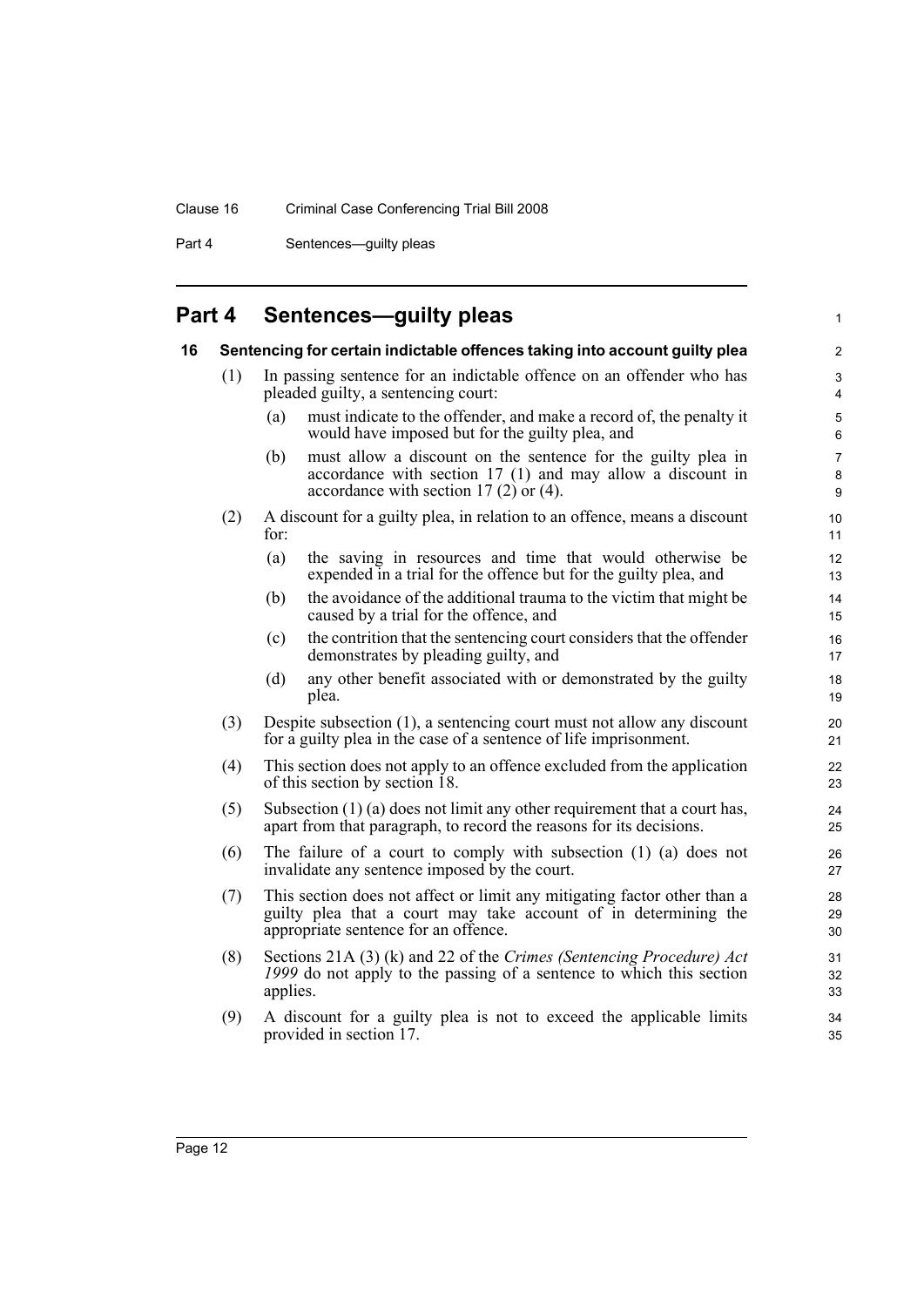Part 4 Sentences—guilty pleas

## <span id="page-19-0"></span>**Part 4 Sentences—guilty pleas**

<span id="page-19-1"></span>

| 16 |     |          | Sentencing for certain indictable offences taking into account guilty plea                                                                                                          | 2                              |
|----|-----|----------|-------------------------------------------------------------------------------------------------------------------------------------------------------------------------------------|--------------------------------|
|    | (1) |          | In passing sentence for an indictable offence on an offender who has<br>pleaded guilty, a sentencing court:                                                                         | 3<br>4                         |
|    |     | (a)      | must indicate to the offender, and make a record of, the penalty it<br>would have imposed but for the guilty plea, and                                                              | $\mathbf 5$<br>6               |
|    |     | (b)      | must allow a discount on the sentence for the guilty plea in<br>accordance with section 17 (1) and may allow a discount in<br>accordance with section $17(2)$ or $(4)$ .            | $\overline{7}$<br>$\bf 8$<br>9 |
|    | (2) | for:     | A discount for a guilty plea, in relation to an offence, means a discount                                                                                                           | 10<br>11                       |
|    |     | (a)      | the saving in resources and time that would otherwise be<br>expended in a trial for the offence but for the guilty plea, and                                                        | 12<br>13                       |
|    |     | (b)      | the avoidance of the additional trauma to the victim that might be<br>caused by a trial for the offence, and                                                                        | 14<br>15                       |
|    |     | (c)      | the contrition that the sentencing court considers that the offender<br>demonstrates by pleading guilty, and                                                                        | 16<br>17                       |
|    |     | (d)      | any other benefit associated with or demonstrated by the guilty<br>plea.                                                                                                            | 18<br>19                       |
|    | (3) |          | Despite subsection (1), a sentencing court must not allow any discount<br>for a guilty plea in the case of a sentence of life imprisonment.                                         | 20<br>21                       |
|    | (4) |          | This section does not apply to an offence excluded from the application<br>of this section by section 18.                                                                           | 22<br>23                       |
|    | (5) |          | Subsection $(1)$ (a) does not limit any other requirement that a court has,<br>apart from that paragraph, to record the reasons for its decisions.                                  | 24<br>25                       |
|    | (6) |          | The failure of a court to comply with subsection $(1)$ $(a)$ does not<br>invalidate any sentence imposed by the court.                                                              | 26<br>27                       |
|    | (7) |          | This section does not affect or limit any mitigating factor other than a<br>guilty plea that a court may take account of in determining the<br>appropriate sentence for an offence. | 28<br>29<br>30                 |
|    | (8) | applies. | Sections 21A (3) (k) and 22 of the Crimes (Sentencing Procedure) Act<br>1999 do not apply to the passing of a sentence to which this section                                        | 31<br>32<br>33                 |
|    | (9) |          | A discount for a guilty plea is not to exceed the applicable limits<br>provided in section 17.                                                                                      | 34<br>35                       |

1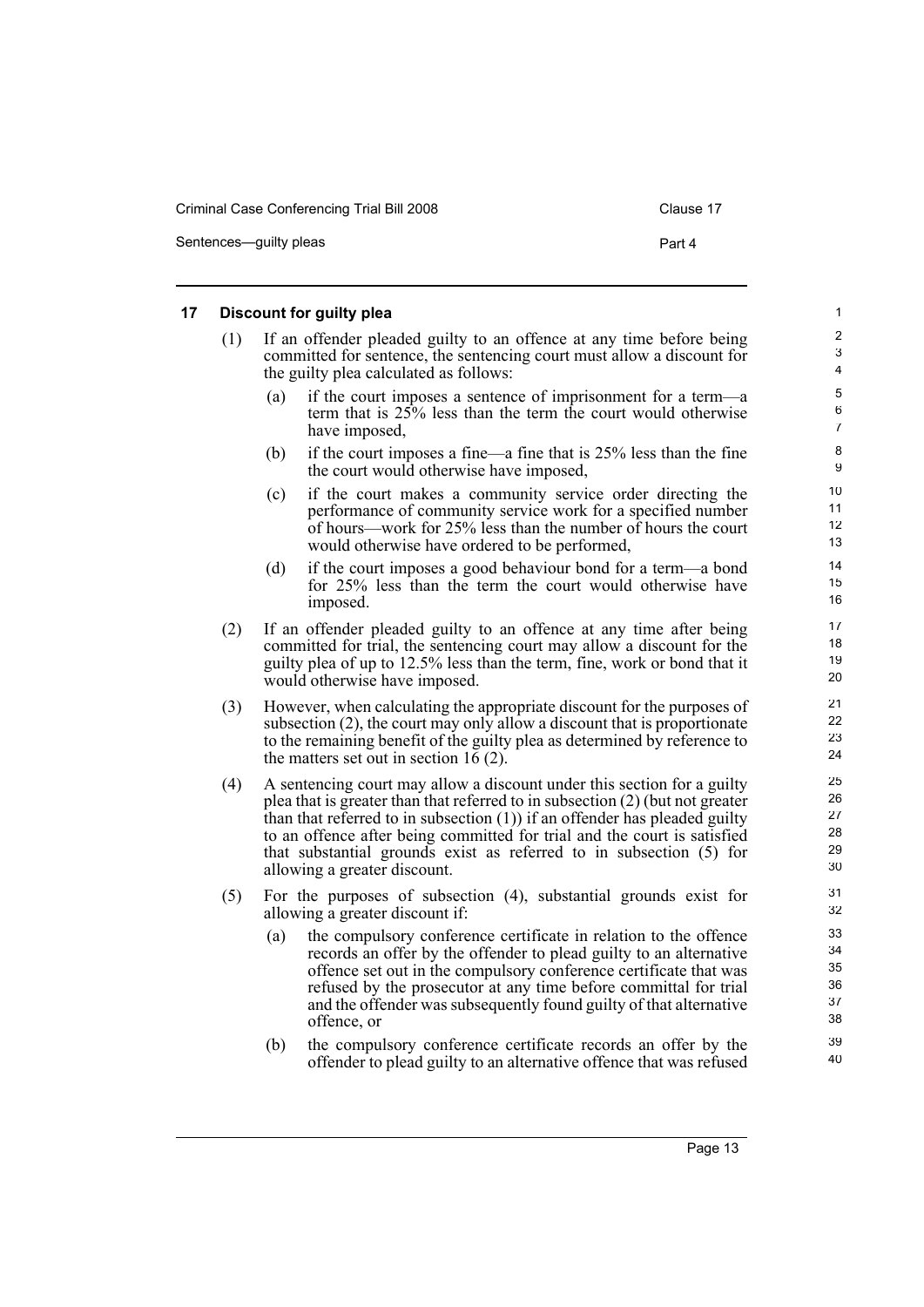#### <span id="page-20-0"></span>**17 Discount for guilty plea** (1) If an offender pleaded guilty to an offence at any time before being committed for sentence, the sentencing court must allow a discount for the guilty plea calculated as follows: (a) if the court imposes a sentence of imprisonment for a term—a term that is 25% less than the term the court would otherwise have imposed, (b) if the court imposes a fine—a fine that is 25% less than the fine the court would otherwise have imposed, (c) if the court makes a community service order directing the performance of community service work for a specified number of hours—work for 25% less than the number of hours the court would otherwise have ordered to be performed, (d) if the court imposes a good behaviour bond for a term—a bond for 25% less than the term the court would otherwise have imposed. (2) If an offender pleaded guilty to an offence at any time after being committed for trial, the sentencing court may allow a discount for the guilty plea of up to 12.5% less than the term, fine, work or bond that it would otherwise have imposed. (3) However, when calculating the appropriate discount for the purposes of subsection (2), the court may only allow a discount that is proportionate to the remaining benefit of the guilty plea as determined by reference to the matters set out in section 16 (2). (4) A sentencing court may allow a discount under this section for a guilty plea that is greater than that referred to in subsection (2) (but not greater than that referred to in subsection (1)) if an offender has pleaded guilty to an offence after being committed for trial and the court is satisfied that substantial grounds exist as referred to in subsection (5) for allowing a greater discount. (5) For the purposes of subsection (4), substantial grounds exist for allowing a greater discount if: (a) the compulsory conference certificate in relation to the offence records an offer by the offender to plead guilty to an alternative offence set out in the compulsory conference certificate that was refused by the prosecutor at any time before committal for trial and the offender was subsequently found guilty of that alternative offence, or (b) the compulsory conference certificate records an offer by the offender to plead guilty to an alternative offence that was refused 1 2 3 4 5 6 7 8 9 10 11 12 13 14 15 16 17 18 19 20 21 22 23 24 25 26 27 28 29 30 31 32 33 34 35 36 37 38 39 40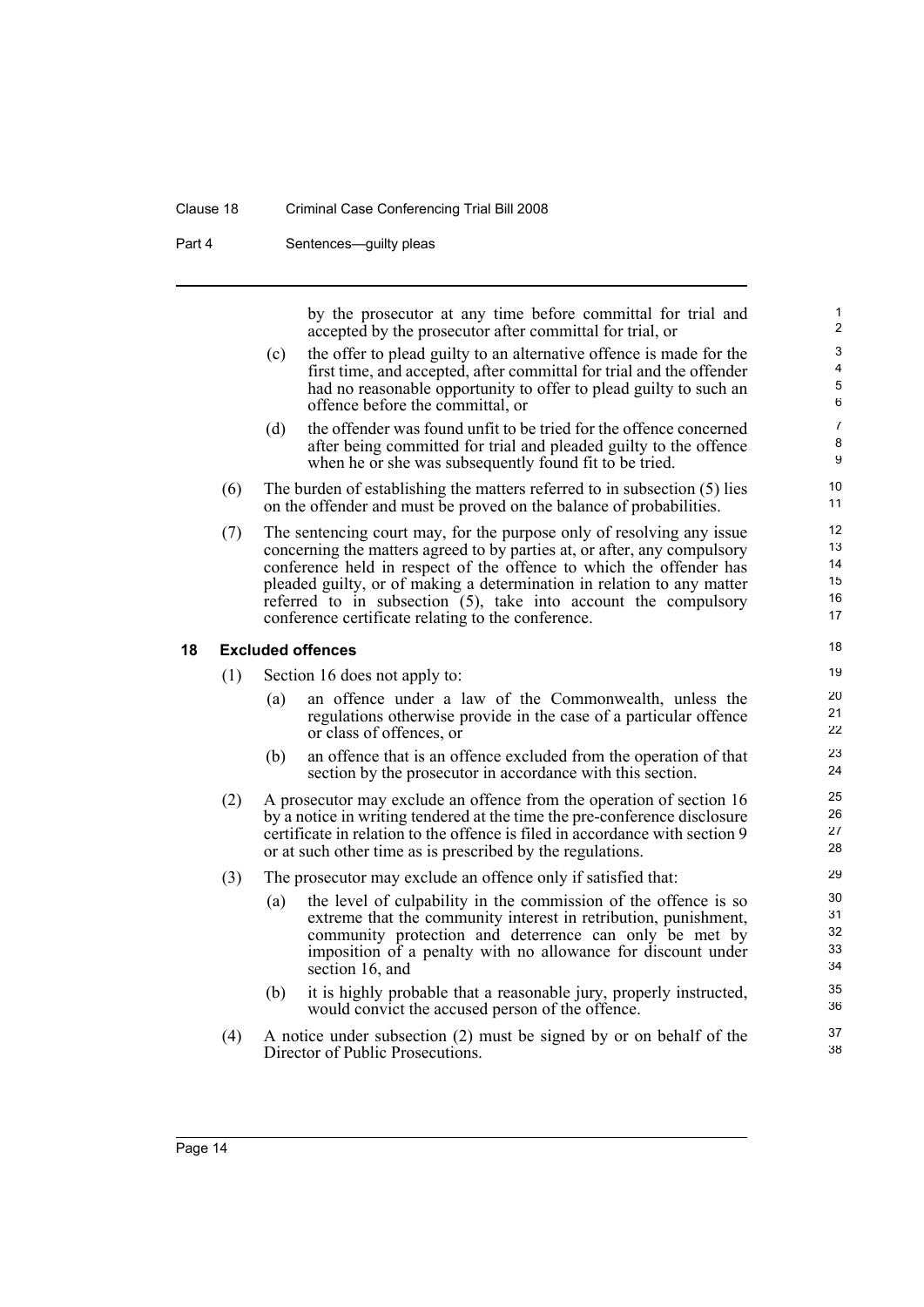#### Clause 18 Criminal Case Conferencing Trial Bill 2008

Part 4 Sentences—guilty pleas

by the prosecutor at any time before committal for trial and accepted by the prosecutor after committal for trial, or

- (c) the offer to plead guilty to an alternative offence is made for the first time, and accepted, after committal for trial and the offender had no reasonable opportunity to offer to plead guilty to such an offence before the committal, or
- (d) the offender was found unfit to be tried for the offence concerned after being committed for trial and pleaded guilty to the offence when he or she was subsequently found fit to be tried.
- (6) The burden of establishing the matters referred to in subsection (5) lies on the offender and must be proved on the balance of probabilities.
- (7) The sentencing court may, for the purpose only of resolving any issue concerning the matters agreed to by parties at, or after, any compulsory conference held in respect of the offence to which the offender has pleaded guilty, or of making a determination in relation to any matter referred to in subsection (5), take into account the compulsory conference certificate relating to the conference.

#### <span id="page-21-0"></span>**18 Excluded offences**

(1) Section 16 does not apply to:

- (a) an offence under a law of the Commonwealth, unless the regulations otherwise provide in the case of a particular offence or class of offences, or
- (b) an offence that is an offence excluded from the operation of that section by the prosecutor in accordance with this section.
- (2) A prosecutor may exclude an offence from the operation of section 16 by a notice in writing tendered at the time the pre-conference disclosure certificate in relation to the offence is filed in accordance with section 9 or at such other time as is prescribed by the regulations.
- (3) The prosecutor may exclude an offence only if satisfied that:
	- (a) the level of culpability in the commission of the offence is so extreme that the community interest in retribution, punishment, community protection and deterrence can only be met by imposition of a penalty with no allowance for discount under section 16, and
	- (b) it is highly probable that a reasonable jury, properly instructed, would convict the accused person of the offence.
- (4) A notice under subsection (2) must be signed by or on behalf of the Director of Public Prosecutions.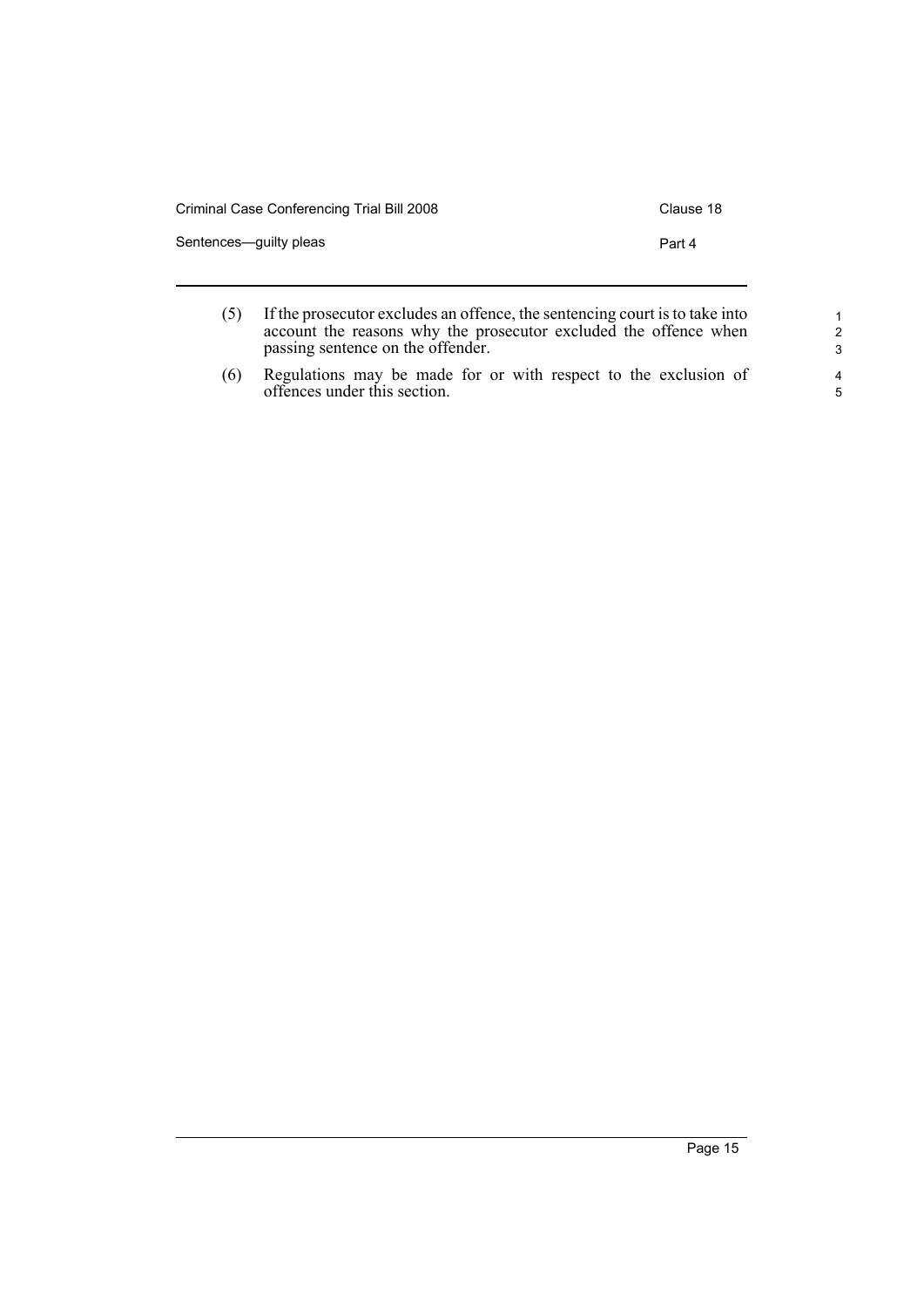| Criminal Case Conferencing Trial Bill 2008 | Clause 18 |
|--------------------------------------------|-----------|
| Sentences—guilty pleas                     | Part 4    |
|                                            |           |

| (5) | If the prosecutor excludes an offence, the sentencing court is to take into |
|-----|-----------------------------------------------------------------------------|
|     | account the reasons why the prosecutor excluded the offence when            |
|     | passing sentence on the offender.                                           |

Page 15

(6) Regulations may be made for or with respect to the exclusion of offences under this section.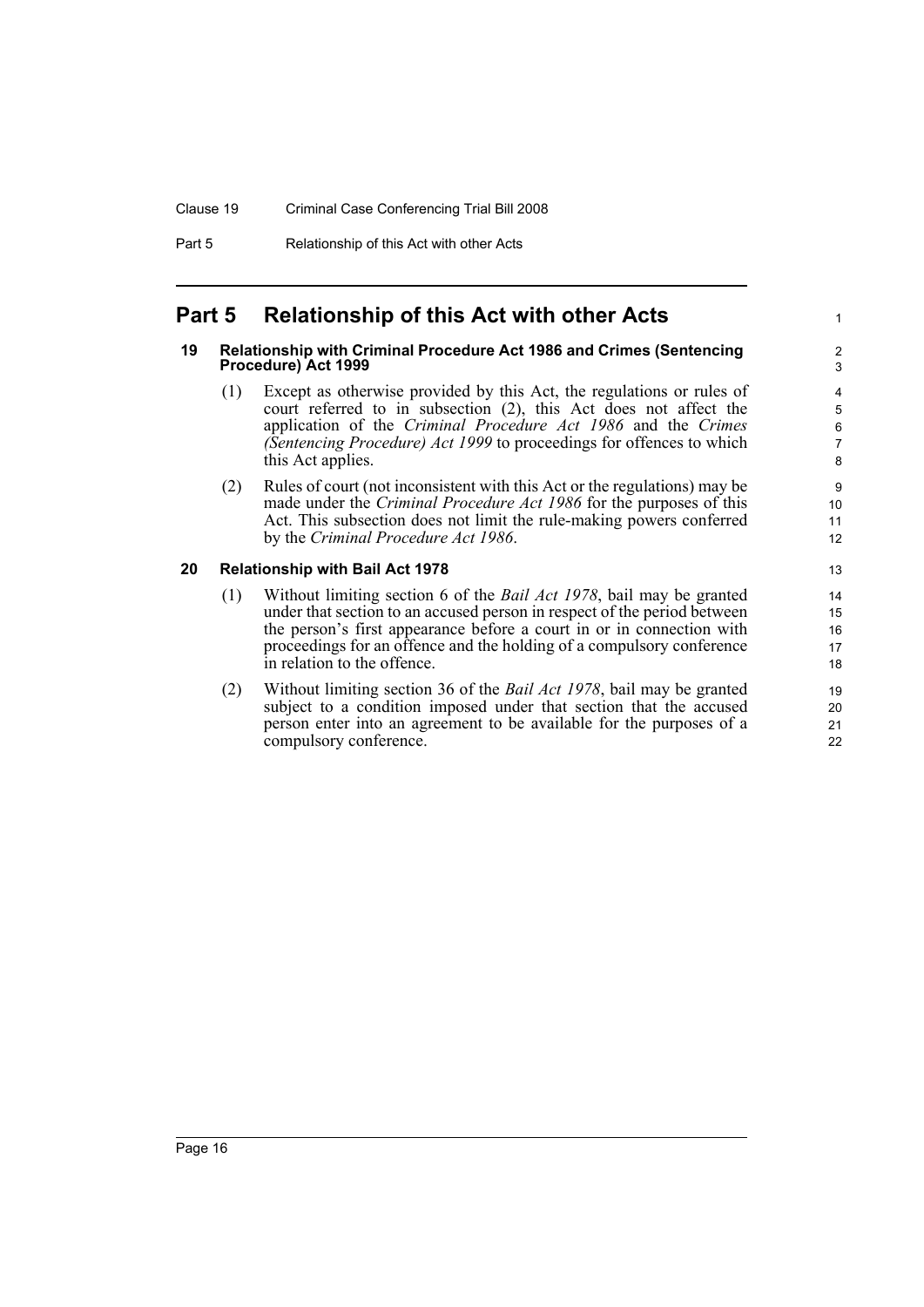## <span id="page-23-0"></span>**Part 5 Relationship of this Act with other Acts**

#### <span id="page-23-1"></span>**19 Relationship with Criminal Procedure Act 1986 and Crimes (Sentencing Procedure) Act 1999**

(1) Except as otherwise provided by this Act, the regulations or rules of court referred to in subsection (2), this Act does not affect the application of the *Criminal Procedure Act 1986* and the *Crimes (Sentencing Procedure) Act 1999* to proceedings for offences to which this Act applies.

1

(2) Rules of court (not inconsistent with this Act or the regulations) may be made under the *Criminal Procedure Act 1986* for the purposes of this Act. This subsection does not limit the rule-making powers conferred by the *Criminal Procedure Act 1986*.

### <span id="page-23-2"></span>**20 Relationship with Bail Act 1978**

- (1) Without limiting section 6 of the *Bail Act 1978*, bail may be granted under that section to an accused person in respect of the period between the person's first appearance before a court in or in connection with proceedings for an offence and the holding of a compulsory conference in relation to the offence.
- (2) Without limiting section 36 of the *Bail Act 1978*, bail may be granted subject to a condition imposed under that section that the accused person enter into an agreement to be available for the purposes of a compulsory conference.

Page 16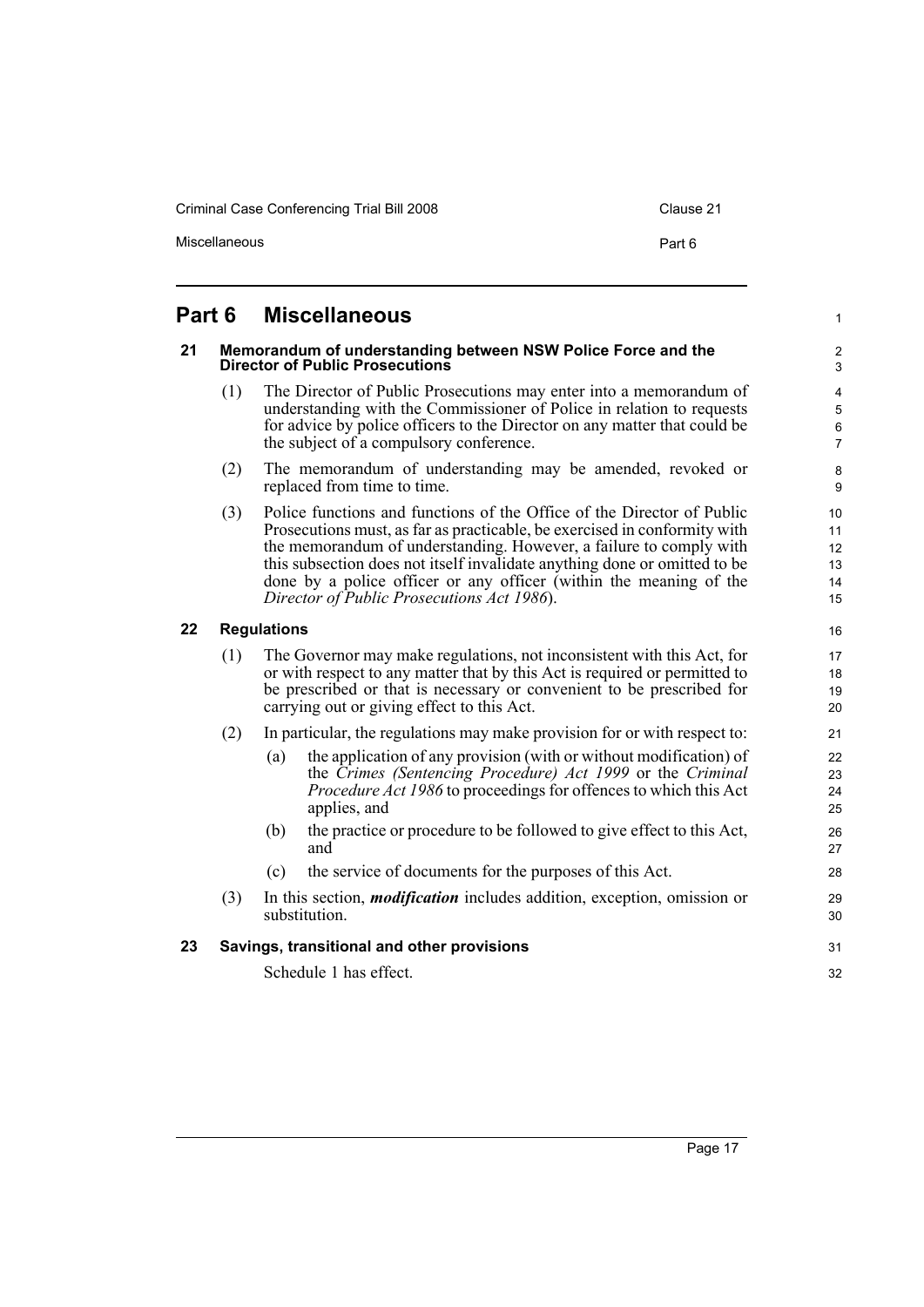Criminal Case Conferencing Trial Bill 2008 Clause 21

Miscellaneous **Part 6** 

1

### <span id="page-24-0"></span>**Part 6 Miscellaneous**

#### <span id="page-24-1"></span>**21 Memorandum of understanding between NSW Police Force and the Director of Public Prosecutions**

- (1) The Director of Public Prosecutions may enter into a memorandum of understanding with the Commissioner of Police in relation to requests for advice by police officers to the Director on any matter that could be the subject of a compulsory conference.
- (2) The memorandum of understanding may be amended, revoked or replaced from time to time.
- (3) Police functions and functions of the Office of the Director of Public Prosecutions must, as far as practicable, be exercised in conformity with the memorandum of understanding. However, a failure to comply with this subsection does not itself invalidate anything done or omitted to be done by a police officer or any officer (within the meaning of the *Director of Public Prosecutions Act 1986*).

#### <span id="page-24-2"></span>**22 Regulations**

- (1) The Governor may make regulations, not inconsistent with this Act, for or with respect to any matter that by this Act is required or permitted to be prescribed or that is necessary or convenient to be prescribed for carrying out or giving effect to this Act.
- (2) In particular, the regulations may make provision for or with respect to:
	- (a) the application of any provision (with or without modification) of the *Crimes (Sentencing Procedure) Act 1999* or the *Criminal Procedure Act 1986* to proceedings for offences to which this Act applies, and
	- (b) the practice or procedure to be followed to give effect to this Act, and
	- (c) the service of documents for the purposes of this Act.
- (3) In this section, *modification* includes addition, exception, omission or substitution.

#### <span id="page-24-3"></span>**23 Savings, transitional and other provisions**

Schedule 1 has effect.